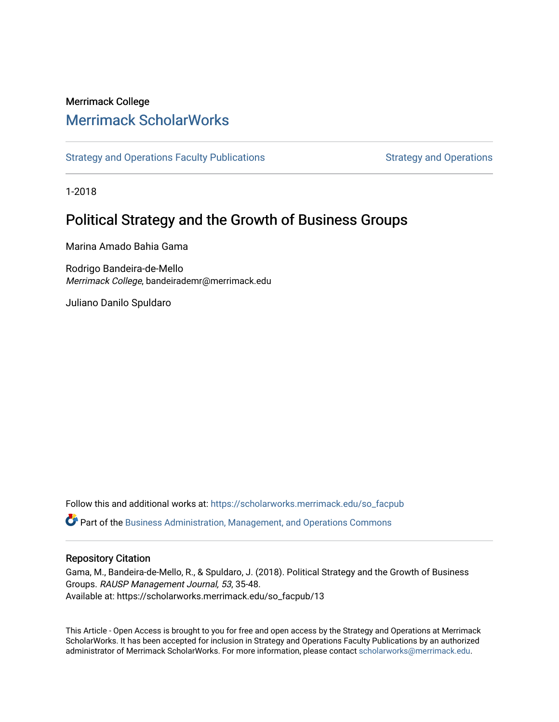## Merrimack College [Merrimack ScholarWorks](https://scholarworks.merrimack.edu/)

[Strategy and Operations Faculty Publications](https://scholarworks.merrimack.edu/so_facpub) [Strategy and Operations](https://scholarworks.merrimack.edu/so) Strategy and Operations

1-2018

# Political Strategy and the Growth of Business Groups

Marina Amado Bahia Gama

Rodrigo Bandeira-de-Mello Merrimack College, bandeirademr@merrimack.edu

Juliano Danilo Spuldaro

Follow this and additional works at: [https://scholarworks.merrimack.edu/so\\_facpub](https://scholarworks.merrimack.edu/so_facpub?utm_source=scholarworks.merrimack.edu%2Fso_facpub%2F13&utm_medium=PDF&utm_campaign=PDFCoverPages)  Part of the [Business Administration, Management, and Operations Commons](http://network.bepress.com/hgg/discipline/623?utm_source=scholarworks.merrimack.edu%2Fso_facpub%2F13&utm_medium=PDF&utm_campaign=PDFCoverPages)

## Repository Citation

Gama, M., Bandeira-de-Mello, R., & Spuldaro, J. (2018). Political Strategy and the Growth of Business Groups. RAUSP Management Journal, 53, 35-48. Available at: https://scholarworks.merrimack.edu/so\_facpub/13

This Article - Open Access is brought to you for free and open access by the Strategy and Operations at Merrimack ScholarWorks. It has been accepted for inclusion in Strategy and Operations Faculty Publications by an authorized administrator of Merrimack ScholarWorks. For more information, please contact [scholarworks@merrimack.edu](mailto:scholarworks@merrimack.edu).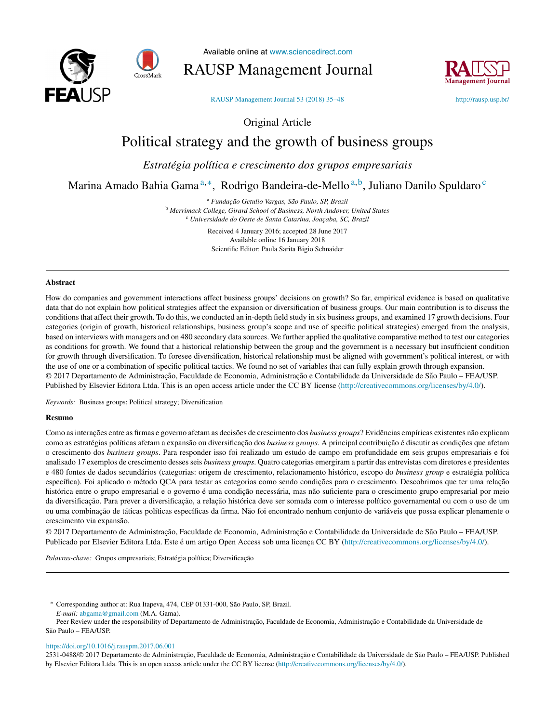



Available online at [www.sciencedirect.com](http://www.sciencedirect.com/science/journal/00802107)

RAUSP Management Journal



RAUSP [Management](https://doi.org/10.1016/j.rauspm.2017.06.001) Journal 53 (2018) 35–48 <http://rausp.usp.br/>

Original Article

## Political strategy and the growth of business groups

*Estratégia política e crescimento dos grupos empresariais*

## Marina Amado Bahia Gama<sup>a,∗</sup>, Rodrigo Bandeira-de-Mello<sup>a,b</sup>, Juliano Danilo Spuldaro<sup>c</sup>

<sup>a</sup> *Funda¸cão Getulio Vargas, São Paulo, SP, Brazil* <sup>b</sup> *Merrimack College, Girard School of Business, North Andover, United States* <sup>c</sup> *Universidade do Oeste de Santa Catarina, Joa¸caba, SC, Brazil*

> Received 4 January 2016; accepted 28 June 2017 Available online 16 January 2018 Scientific Editor: Paula Sarita Bigio Schnaider

#### **Abstract**

How do companies and government interactions affect business groups' decisions on growth? So far, empirical evidence is based on qualitative data that do not explain how political strategies affect the expansion or diversification of business groups. Our main contribution is to discuss the conditions that affect their growth. To do this, we conducted an in-depth field study in six business groups, and examined 17 growth decisions. Four categories (origin of growth, historical relationships, business group's scope and use of specific political strategies) emerged from the analysis, based on interviews with managers and on 480 secondary data sources. We further applied the qualitative comparative method to test our categories as conditions for growth. We found that a historical relationship between the group and the government is a necessary but insufficient condition for growth through diversification. To foresee diversification, historical relationship must be aligned with government's political interest, or with the use of one or a combination of specific political tactics. We found no set of variables that can fully explain growth through expansion. © 2017 Departamento de Administração, Faculdade de Economia, Administração e Contabilidade da Universidade de São Paulo – FEA/USP. Published by Elsevier Editora Ltda. This is an open access article under the CC BY license ([http://creativecommons.org/licenses/by/4.0/\)](http://creativecommons.org/licenses/by/4.0/).

*Keywords:* Business groups; Political strategy; Diversification

#### **Resumo**

Como as interações entre as firmas e governo afetam as decisões de crescimento dos *business groups*? Evidências empíricas existentes não explicam como as estratégias políticas afetam a expansão ou diversificação dos *business groups*. A principal contribuição é discutir as condições que afetam o crescimento dos *business groups*. Para responder isso foi realizado um estudo de campo em profundidade em seis grupos empresariais e foi analisado 17 exemplos de crescimento desses seis *business groups*. Quatro categorias emergiram a partir das entrevistas com diretores e presidentes e 480 fontes de dados secundários (categorias: origem de crescimento, relacionamento histórico, escopo do *business group* e estratégia política específica). Foi aplicado o método QCA para testar as categorias como sendo condições para o crescimento. Descobrimos que ter uma relação histórica entre o grupo empresarial e o governo é uma condição necessária, mas não suficiente para o crescimento grupo empresarial por meio da diversificação. Para prever a diversificação, a relação histórica deve ser somada com o interesse político governamental ou com o uso de um ou uma combinac¸ão de táticas políticas específicas da firma. Não foi encontrado nenhum conjunto de variáveis que possa explicar plenamente o crescimento via expansão.

© 2017 Departamento de Administração, Faculdade de Economia, Administração e Contabilidade da Universidade de São Paulo – FEA/USP. Publicado por Elsevier Editora Ltda. Este é um artigo Open Access sob uma licença CC BY ([http://creativecommons.org/licenses/by/4.0/\)](http://creativecommons.org/licenses/by/4.0/).

Palavras-chave: Grupos empresariais; Estratégia política; Diversificação

∗ Corresponding author at: Rua Itapeva, 474, CEP 01331-000, São Paulo, SP, Brazil.

*E-mail:* [abgama@gmail.com](mailto:abgama@gmail.com) (M.A. Gama).

Peer Review under the responsibility of Departamento de Administração, Faculdade de Economia, Administração e Contabilidade da Universidade de São Paulo – FEA/USP.

<https://doi.org/10.1016/j.rauspm.2017.06.001>

2531-0488/© 2017 Departamento de Administração, Faculdade de Economia, Administração e Contabilidade da Universidade de São Paulo – FEA/USP. Published by Elsevier Editora Ltda. This is an open access article under the CC BY license (<http://creativecommons.org/licenses/by/4.0/>).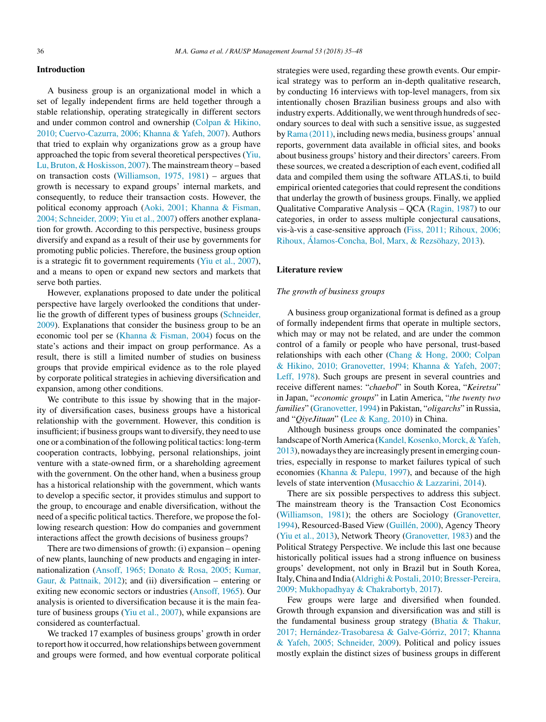## **Introduction**

A business group is an organizational model in which a set of legally independent firms are held together through a stable relationship, operating strategically in different sectors and under common control and ownership (Colpan & Hikino, 2010; Cuervo-Cazurra, 2006; Khanna & Yafeh, 2007). Authors that tried to explain why organizations grow as a group have approached the topic from several theoretical perspectives (Yiu, Lu,Bruton, & Hoskisson, 2007). The mainstream theory – based on transaction costs ([Williamson,](#page-14-0) 1975, 1981) – argues that growth is necessary to expand groups' internal markets, and consequently, to reduce their transaction costs. However, the political economy approach (Aoki, 2001; Khanna & Fisman, 2004; Schneider, 2009; Yiu et al., 2007) offers another explanation for growth. According to this perspective, business groups diversify and expand as a result of their use by governments for promoting public policies. Therefore, the business group option is a strategic fit to government requirements (Yiu et al., [2007\),](#page-14-0) and a means to open or expand new sectors and markets that serve both parties.

However, explanations proposed to date under the political perspective have largely overlooked the conditions that underlie the growth of different types of business groups ([Schneider,](#page-14-0) 2009). Explanations that consider the business group to be an economic tool per se (Khanna & [Fisman,](#page-13-0) 2004) focus on the state's actions and their impact on group performance. As a result, there is still a limited number of studies on business groups that provide empirical evidence as to the role played by corporate political strategies in achieving diversification and expansion, among other conditions.

We contribute to this issue by showing that in the majority of diversification cases, business groups have a historical relationship with the government. However, this condition is insufficient; if business groups want to diversify, they need to use one or a combination of the following political tactics: long-term cooperation contracts, lobbying, personal relationships, joint venture with a state-owned firm, or a shareholding agreement with the government. On the other hand, when a business group has a historical relationship with the government, which wants to develop a specific sector, it provides stimulus and support to the group, to encourage and enable diversification, without the need of a specific political tactics. Therefore, we propose the following research question: How do companies and government interactions affect the growth decisions of business groups?

There are two dimensions of growth: (i) expansion – opening of new plants, launching of new products and engaging in internationalization (Ansoff, 1965; Donato & Rosa, 2005; Kumar, Gaur, & Pattnaik, 2012); and (ii) diversification – entering or exiting new economic sectors or industries ([Ansoff,](#page-12-0) 1965). Our analysis is oriented to diversification because it is the main feature of business groups (Yiu et al., [2007\),](#page-14-0) while expansions are considered as counterfactual.

We tracked 17 examples of business groups' growth in order to report how it occurred, how relationships between government and groups were formed, and how eventual corporate political

strategies were used, regarding these growth events. Our empirical strategy was to perform an in-depth qualitative research, by conducting 16 interviews with top-level managers, from six intentionally chosen Brazilian business groups and also with industry experts. Additionally, we went through hundreds of secondary sources to deal with such a [sensitive](#page-13-0) issue, as suggested by Rama [\(2011\),](#page-14-0) including news media, business groups' annual reports, government data available in official sites, and books about [business](#page-14-0) groups' history and their directors' careers. From these sources, we created a description of each event, codified all data and compiled them using the software ATLAS.ti, to build empirical oriented categories that could represent the conditions that underlay the growth of business groups. Finally, we applied Qualitative [Comparative](#page-12-0) Analysis – QCA [\(Ragin,](#page-14-0) 1987) to our categories, in order to assess multiple conjectural causations, vis-à-vis a case-sensitive approach (Fiss, 2011; [Rihoux,](#page-13-0) 2006; Rihoux, Álamos-Concha, Bol, Marx, & Rezsöhazy, 2013).

#### **Literature review**

### *The growth of business groups*

A business group organizational format is defined as a group of formally independent firms that operate in multiple sectors, which may or may not be related, and are under the common control of a family or people who have personal, trust-based relationships with each other (Chang & Hong, 2000; [Colpan](#page-13-0) & Hikino, 2010; Granovetter, 1994; Khanna & Yafeh, 2007; Leff, 1978). Such groups are present in several countries and receive different names: "*chaebol*" in South Korea, "*Keiretsu*" in Japan, "*economic groups*" in Latin America, "*the twenty two families*" ([Granovetter,](#page-13-0) 1994) in Pakistan, "*oligarchs*" in Russia, and "*QiyeJituan*" (Lee & [Kang,](#page-13-0) 2010) in China.

Although business groups once dominated the companies' landscape of North America (Kandel, Kosenko, Morck, & Yafeh, 2013), nowadaysthey are increasingly present in emerging countries, especially in response to market failures typical of such economies ([Khanna](#page-13-0) & Palepu, 1997), and because of the high levels of state intervention [\(Musacchio](#page-13-0) & Lazzarini, 2014).

There are six possible perspectives to address this subject. The mainstream theory is the Transaction Cost Economics [\(Williamson,](#page-14-0) 1981); the others are Sociology [\(Granovetter,](#page-13-0) 1994), Resourced-Based View [\(Guillén,](#page-13-0) 2000), Agency Theory (Yiu et al., [2013\),](#page-14-0) Network Theory [\(Granovetter,](#page-13-0) 1983) and the Political Strategy Perspective. We include this last one because historically political issues had a strong influence on business groups' [developme](#page-12-0)nt, not only in Brazil but in South Korea, Italy, China and India (Aldrighi & Postali, 2010; Bresser-Pereira, 2009; Mukhopadhyay & Chakrabortyb, 2017).

Few groups were large and diversified when founded. Growth through expansion and diversification was and still is the fundamental business group strategy (Bhatia & [Thakur,](#page-13-0) 2017; Hernández-Trasobaresa & Galve-Górriz, 2017; Khanna & Yafeh, 2005; Schneider, 2009). Political and policy issues mostly explain the distinct sizes of business groups in different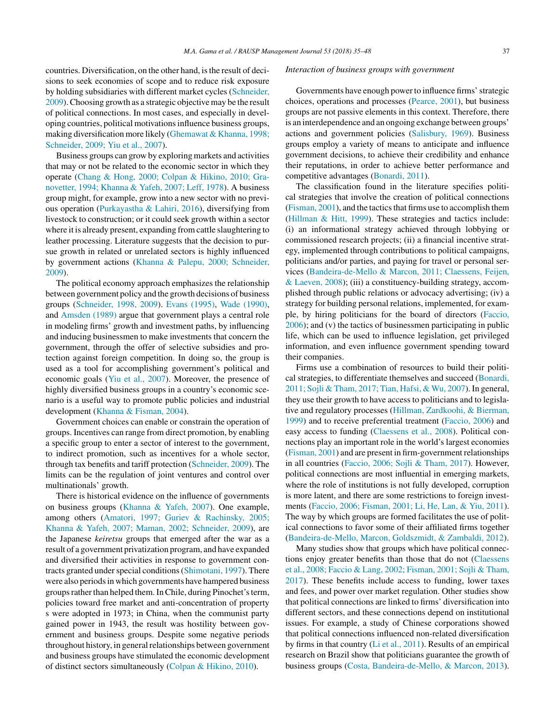countries. Diversification, on the other hand, isthe result of decisions to seek economies of scope and to reduce risk exposure by holding subsidiaries with different market cycles ([Schneider,](#page-14-0) 2009).Choosing growth as a strategic objective may be the result of political connections. In most cases, and especially in developing countries, political motivationsinfluence business groups, making diversification more likely (Ghemawat & Khanna, 1998; Schneider, 2009; Yiu et al., 2007).

Business groups can grow by exploring markets and activities that may or not be related to the economic sector in which they operate (Chang & Hong, 2000; Colpan & Hikino, 2010; Granovetter, 1994; Khanna & Yafeh, 2007; Leff, 1978). A business group might, for example, grow into a new sector with no previous operation [\(Purkayastha](#page-14-0) & Lahiri, 2016), diversifying from livestock to construction; or it could seek growth within a sector where it is already present, expanding from cattle slaughtering to leather processing. Literature suggests that the decision to pursue growth in related or unrelated sectors is highly influenced by government actions (Khanna & Palepu, 2000; [Schneider,](#page-13-0) 2009).

The political economy approach emphasizes the relationship between government policy and the growth decisions of business groups ([Schneider,](#page-14-0) 1998, 2009). Evans [\(1995\),](#page-13-0) Wade [\(1990\),](#page-14-0) and [Amsden](#page-12-0) (1989) argue that government plays a central role in modeling firms' growth and investment paths, by influencing and inducing businessmen to make investments that concern the government, through the offer of selective subsidies and protection against foreign competition. In doing so, the group is used as a tool for accomplishing government's political and economic goals (Yiu et al., [2007\)](#page-14-0). Moreover, the presence of highly diversified business groups in a country's economic scenario is a useful way to promote public policies and industrial development (Khanna & [Fisman,](#page-13-0) 2004).

Government choices can enable or constrain the operation of groups. Incentives can range from direct promotion, by enabling a specific group to enter a sector of interest to the government, to indirect promotion, such as incentives for a whole sector, through tax benefits and tariff protection ([Schneider,](#page-14-0) 2009). The limits can be the regulation of joint ventures and control over multinationals' growth.

There is historical evidence on the influence of governments on business groups [\(Khanna](#page-13-0) & Yafeh, 2007). One example, among others (Amatori, 1997; Guriev & [Rachinsky,](#page-13-0) 2005; Khanna & Yafeh, 2007; Maman, 2002; Schneider, 2009), are the Japanese *keiretsu* groups that emerged after the war as a result of a government privatization program, and have expanded and diversified their activities in response to government con-tracts granted under special conditions ([Shimotani,](#page-14-0) 1997). There were also periods in which governments have hampered business groups rather than helped them. In Chile, during Pinochet's term, policies toward free market and anti-concentration of property s were adopted in 1973; in China, when the communist party gained power in 1943, the result was hostility between government and business groups. Despite some negative periods throughout history, in general relationships between government and business groups have stimulated the economic development of distinct sectors simultaneously (Colpan & [Hikino,](#page-13-0) 2010).

#### *Interaction of business groups with government*

Governments have enough power to influence firms' strategic choices, operations and processes [\(Pearce,](#page-13-0) 2001), but business groups are not passive elements in this context. Therefore, there is an interdependence and an ongoing exchange between groups' actions and [government](#page-13-0) policies [\(Salisbury,](#page-14-0) 1969). Business groups employ a variety of means to anticipate and influence government decisions, to achieve their credibility and enhance their reputations, in order to achieve better performance and [competitive](#page-13-0) advantages ([Bonardi,](#page-13-0) 2011).

The classification found in the literature specifies political strategies that involve the creation of political connections ([Fisman,](#page-13-0)  $2001$ ), and the tactics that firms use to accomplish them ([Hillman](#page-13-0) & Hitt, 1999). These strategies and tactics include: (i) an informational strategy achieved through lobbying or commissioned research projects; (ii) a financial incentive strategy, implemented through contributions to political campaigns, politicians and/or parties, and paying for travel or personal services [\(Bandeira-de-Mello](#page-13-0) & Marcon, 2011; Claessens, Feijen, & Laeven, 2008); (iii) a constituency-building strategy, accomplished through public relations or advocacy advertising; (iv) a strategy for building personal relations, implemented, for example, by hiring politicians for the board of directors ([Faccio,](#page-13-0) 2006); and (v) the tactics of businessmen participating in public life, which can be used to influence legislation, get privileged information, and even influence government spending toward their companies.

Firms use a combination of resources to build their political strategies, to differentiate themselves and succeed [\(Bonardi,](#page-13-0) 2011; Sojli & Tham, 2017; Tian, Hafsi, & Wu, 2007). In general, they use their growth to have access to politicians and to legislative and regulatory processes (Hillman, [Zardkoohi,](#page-13-0) & Bierman, 1999) and to receive preferential treatment [\(Faccio,](#page-13-0) 2006) and easy access to funding [\(Claessens](#page-13-0) et al., 2008). Political connections play an important role in the world's largest economies ([Fisman,](#page-13-0)  $2001$ ) and are present in firm-government relationships in all countries ([Faccio,](#page-13-0) 2006; Sojli & Tham, 2017). However, political connections are most influential in emerging markets, where the role of institutions is not fully developed, corruption is more latent, and there are some restrictions to foreign investments (Faccio, 2006; [Fisman,](#page-13-0) 2001; Li, He, Lan, & Yiu, 2011). The way by which groups are formed facilitates the use of political connections to favor some of their affiliated firms together ([Bandeira-de-Mello,](#page-13-0) Marcon, Goldszmidt, & Zambaldi, 2012).

Many studies show that groups which have political connections enjoy greater benefits than those that do not [\(Claessens](#page-13-0) et al., 2008; Faccio & Lang, 2002; Fisman, 2001; Sojli & Tham, 2017). These benefits include access to funding, lower taxes and fees, and power over market regulation. Other studies show that political connections are linked to firms' diversification into different sectors, and these connections depend on institutional issues. For example, a study of Chinese corporations showed that political connections influenced non-related diversification by firms in that country (Li et al., [2011\).](#page-13-0) Results of an empirical research on Brazil show that politicians guarantee the growth of business groups (Costa, [Bandeira-de-Mello,](#page-13-0) & Marcon, 2013).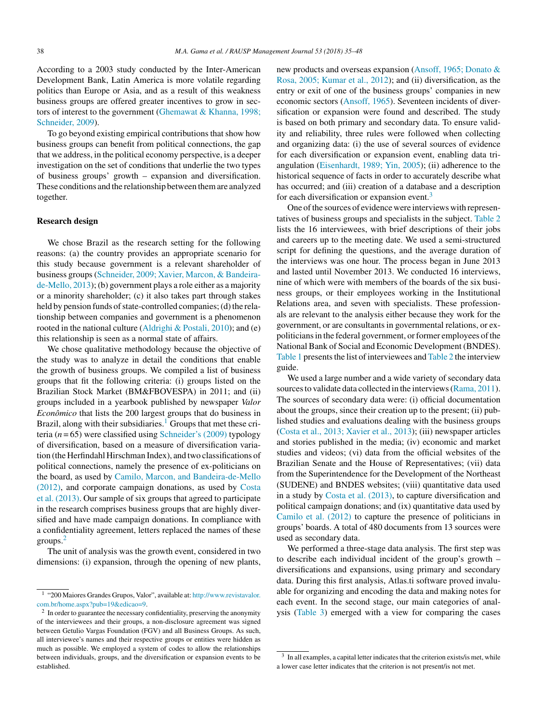According to a 2003 study conducted by the Inter-American Development Bank, Latin America is more volatile regarding politics than Europe or Asia, and as a result of this weakness business groups are offered greater incentives to grow in sectors of interest to the government [\(Ghemawat](#page-13-0) & Khanna, 1998; Schneider, 2009).

To go beyond existing empirical contributions that show how business groups can benefit from political connections, the gap that we address, in the political economy perspective, is a deeper investigation on the set of conditions that underlie the two types of business groups' growth – expansion and diversification. These conditions and the relationship between themare analyzed together.

### **Research design**

We chose Brazil as the research setting for the following reasons: (a) the country provides an appropriate scenario for this study because government is a relevant shareholder of business groups([Schneider,](#page-14-0) 2009; Xavier, Marcon, & Bandeirade-Mello, 2013); (b) government plays a role either as a majority or a minority shareholder; (c) it also takes part through stakes held by pension funds of state-controlled companies; (d) the relationship between companies and government is a phenomenon rooted in the national culture [\(Aldrighi](#page-12-0) & Postali, 2010); and (e) this relationship is seen as a normal state of affairs.

We chose qualitative methodology because the objective of the study was to analyze in detail the conditions that enable the growth of business groups. We compiled a list of business groups that fit the following criteria: (i) groups listed on the Brazilian Stock Market (BM&FBOVESPA) in 2011; and (ii) groups included in a yearbook published by newspaper *Valor Econômico* that lists the 200 largest groups that do business in Brazil, along with their subsidiaries.<sup>1</sup> Groups that met these criteria ( $n = 65$ ) were classified using [Schneider's](#page-14-0) (2009) typology of diversification, based on a measure of diversification variation (the Herfindahl Hirschman Index), and two classifications of political connections, namely the presence of ex-politicians on the board, as used by Camilo, Marcon, and [Bandeira-de-Mello](#page-13-0) (2012), and corporate campaign donations, as used by Costa et al. (2013). Our sample of six groups that agreed to participate in the research comprises business groups that are highly diversified and have made campaign donations. In compliance with a confidentiality agreement, letters replaced the names of these groups.<sup>2</sup>

The unit of analysis was the growth event, considered in two dimensions: (i) expansion, through the opening of new plants,

new products and overseas expansion [\(Ansoff,](#page-12-0) 1965; Donato & Rosa, 2005; Kumar et al., 2012); and (ii) diversification, as the entry or exit of one of the business groups' companies in new economic sectors ([Ansoff,](#page-12-0) 1965). Seventeen incidents of diversification or expansion were found and described. The study is based on both primary and secondary data. To ensure validity and reliability, three rules were followed when collecting and organizing data: (i) the use of several sources of evidence for each diversification or expansion event, enabling data triangulation [\(Eisenhardt,](#page-13-0) 1989; Yin, 2005); (ii) adherence to the historical sequence of facts in order to accurately describe what has occurred; and (iii) creation of a database and a description for each diversification or expansion event.<sup>3</sup>

One of the sources of evidence were interviews with representatives of business groups and specialists in the subject. [Table](#page-5-0) 2 lists the 16 interviewees, with brief descriptions of their jobs and careers up to the meeting date. We used a semi-structured script for defining the questions, and the average duration of the interviews was one hour. The process began in June 2013 and lasted until November 2013. We conducted 16 interviews, nine of which were with members of the boards of the six business groups, or their employees working in the Institutional Relations area, and seven with specialists. These professionals are relevant to the analysis either because they work for the government, or are consultants in governmental relations, or expoliticians in the federal government, or former employees of the National Bank of Social and Economic Development (BNDES). [Table](#page-5-0) 1 presents the list of interviewees and Table 2 the interview guide.

We used a large number and a wide variety of secondary data sources to validate data collected in the interviews (Rama, [2011\).](#page-14-0) The sources of secondary data were: (i) official documentation about the groups, since their creation up to the present; (ii) published studies and evaluations dealing with the business groups (Costa et al., 2013; [Xavier](#page-13-0) et al., 2013); (iii) newspaper articles and stories published in the media; (iv) economic and market studies and videos; (vi) data from the official websites of the Brazilian Senate and the House of Representatives; (vii) data from the Superintendence for the Development of the Northeast [\(SUDENE](#page-13-0)) and BNDES websites; (viii) quantitative data used in a study by Costa et al. [\(2013\),](#page-13-0) to capture diversification and political campaign donations; and (ix) quantitative data used by [Camilo](#page-13-0) et al. (2012) to capture the presence of politicians in groups' boards. A total of 480 documents from 13 sources were used as secondary data.

We performed a three-stage data analysis. The first step was to describe each individual incident of the group's growth – diversifications and expansions, using primary and secondary data. During this first analysis, Atlas.ti software proved invaluable for organizing and encoding the data and making notes for each event. In the second stage, our main categories of analysis ([Table](#page-6-0) 3) emerged with a view for comparing the cases

<sup>1</sup> "200 Maiores Grandes Grupos, Valor", available at: [http://www.revistavalor.](http://www.revistavalor.com.br/home.aspx?pub=19&edicao=9) [com.br/home.aspx?pub=19&edicao=9](http://www.revistavalor.com.br/home.aspx?pub=19&edicao=9).

<sup>&</sup>lt;sup>2</sup> In order to guarantee the necessary confidentiality, preserving the anonymity of the interviewees and their groups, a non-disclosure agreement was signed between Getulio Vargas Foundation (FGV) and all Business Groups. As such, all interviewee's names and their respective groups or entities were hidden as much as possible. We employed a system of codes to allow the relationships between individuals, groups, and the diversification or expansion events to be established.

 $3\,$  In all examples, a capital letter indicates that the criterion exists/is met, while a lower case letter indicates that the criterion is not present/is not met.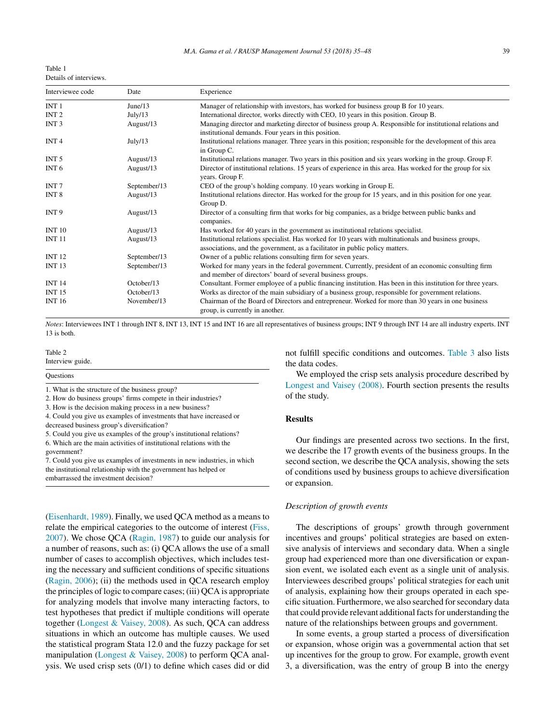<span id="page-5-0"></span>

| Table 1                |  |
|------------------------|--|
| Details of interviews. |  |

| Interviewee code | Date         | Experience                                                                                                                                                                           |
|------------------|--------------|--------------------------------------------------------------------------------------------------------------------------------------------------------------------------------------|
| INT <sub>1</sub> | June/13      | Manager of relationship with investors, has worked for business group B for 10 years.                                                                                                |
| INT <sub>2</sub> | July/13      | International director, works directly with CEO, 10 years in this position. Group B.                                                                                                 |
| INT <sub>3</sub> | August/13    | Managing director and marketing director of business group A. Responsible for institutional relations and<br>institutional demands. Four years in this position.                     |
| INT <sub>4</sub> | July/13      | Institutional relations manager. Three years in this position; responsible for the development of this area<br>in Group C.                                                           |
| INT <sub>5</sub> | August/13    | Institutional relations manager. Two years in this position and six years working in the group. Group F.                                                                             |
| INT <sub>6</sub> | August/13    | Director of institutional relations. 15 years of experience in this area. Has worked for the group for six<br>years. Group F.                                                        |
| INT <sub>7</sub> | September/13 | CEO of the group's holding company. 10 years working in Group E.                                                                                                                     |
| INT <sub>8</sub> | August/13    | Institutional relations director. Has worked for the group for 15 years, and in this position for one year.<br>Group D.                                                              |
| INT <sub>9</sub> | August/13    | Director of a consulting firm that works for big companies, as a bridge between public banks and<br>companies.                                                                       |
| <b>INT 10</b>    | August/13    | Has worked for 40 years in the government as institutional relations specialist.                                                                                                     |
| <b>INT 11</b>    | August/13    | Institutional relations specialist. Has worked for 10 years with multinationals and business groups,<br>associations, and the government, as a facilitator in public policy matters. |
| <b>INT 12</b>    | September/13 | Owner of a public relations consulting firm for seven years.                                                                                                                         |
| <b>INT 13</b>    | September/13 | Worked for many years in the federal government. Currently, president of an economic consulting firm<br>and member of directors' board of several business groups.                   |
| <b>INT 14</b>    | October/13   | Consultant. Former employee of a public financing institution. Has been in this institution for three years.                                                                         |
| <b>INT 15</b>    | October/13   | Works as director of the main subsidiary of a business group, responsible for government relations.                                                                                  |
| <b>INT 16</b>    | November/13  | Chairman of the Board of Directors and entrepreneur. Worked for more than 30 years in one business<br>group, is currently in another.                                                |

*Notes*: Interviewees INT 1 through INT 8, INT 13, INT 15 and INT 16 are all representatives of business groups; INT 9 through INT 14 are all industry experts. INT 13 is both.

#### Table 2

Interview guide.

| <b>Questions</b>                                              |  |
|---------------------------------------------------------------|--|
| 1. What is the structure of the business group?               |  |
| 2. How do business groups' firms compete in their industries? |  |
| 3. How is the decision making process in a new business?      |  |

4. Could you give us examples of investments that have increased or

decreased business group's diversification?

5. Could you give us examples of the group's institutional relations? 6. Which are the main activities of institutional relations with the government?

7. Could you give us examples of investments in new industries, in which the institutional relationship with the government has helped or embarrassed the investment decision?

([Eisenhardt,](#page-13-0) 1989). Finally, we used QCA method as a means to relate the empirical categories to the outcome of interest [\(Fiss,](#page-13-0) 2007). We chose QCA ([Ragin,](#page-14-0) 1987) to guide our analysis for a number of reasons, such as: (i) QCA allows the use of a small number of cases to accomplish objectives, which includes testing the necessary and sufficient conditions of specific situations ([Ragin,](#page-14-0) 2006); (ii) the methods used in QCA research employ the principles of logic to compare cases; (iii) QCA is appropriate for analyzing models that involve many interacting factors, to test hypotheses that predict if multiple conditions will operate together [\(Longest](#page-13-0) & Vaisey, 2008). As such, QCA can address situations in which an outcome has multiple causes. We used the statistical program Stata 12.0 and the fuzzy package for set manipulation [\(Longest](#page-13-0) & Vaisey, 2008) to perform QCA analysis. We used crisp sets (0/1) to define which cases did or did

not fulfill specific conditions and outcomes. [Table](#page-6-0) 3 also lists the data codes.

We employed the crisp sets analysis procedure described by [Longest](#page-13-0) and Vaisey (2008). Fourth section presents the results of the study.

### **Results**

Our findings are presented across two sections. In the first, we describe the 17 growth events of the business groups. In the second section, we describe the QCA analysis, showing the sets of conditions used by business groups to achieve diversification or expansion.

#### *Description of growth events*

The descriptions of groups' growth through government incentives and groups' political strategies are based on extensive analysis of interviews and secondary data. When a single group had experienced more than one diversification or expansion event, we isolated each event as a single unit of analysis. Interviewees described groups' political strategies for each unit of analysis, explaining how their groups operated in each specific situation. Furthermore, we also searched for secondary data that could provide relevant additional facts for understanding the nature of the relationships between groups and government.

In some events, a group started a process of diversification or expansion, whose origin was a governmental action that set up incentives for the group to grow. For example, growth event 3, a diversification, was the entry of group B into the energy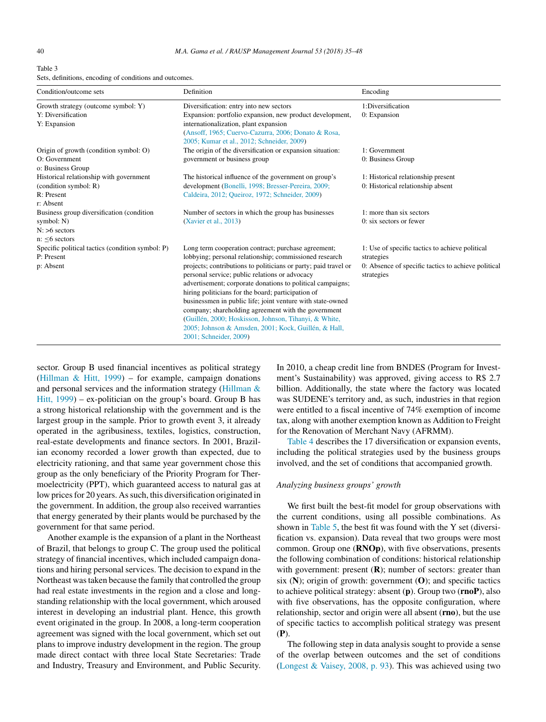<span id="page-6-0"></span>

| Table 3                                                 |  |
|---------------------------------------------------------|--|
| Sets, definitions, encoding of conditions and outcomes. |  |

| Condition/outcome sets                                         | Definition                                                                                                                                 | Encoding                                                          |  |
|----------------------------------------------------------------|--------------------------------------------------------------------------------------------------------------------------------------------|-------------------------------------------------------------------|--|
| Growth strategy (outcome symbol: Y)<br>Y: Diversification      | Diversification: entry into new sectors<br>Expansion: portfolio expansion, new product development,                                        | 1:Diversification<br>0: Expansion                                 |  |
| Y: Expansion                                                   | internationalization, plant expansion<br>(Ansoff, 1965; Cuervo-Cazurra, 2006; Donato & Rosa,<br>2005; Kumar et al., 2012; Schneider, 2009) |                                                                   |  |
| Origin of growth (condition symbol: O)                         | The origin of the diversification or expansion situation:                                                                                  | 1: Government                                                     |  |
| O: Government<br>o: Business Group                             | government or business group                                                                                                               | 0: Business Group                                                 |  |
| Historical relationship with government                        | The historical influence of the government on group's                                                                                      | 1: Historical relationship present                                |  |
| (condition symbol: R)                                          | development (Bonelli, 1998; Bresser-Pereira, 2009;                                                                                         | 0: Historical relationship absent                                 |  |
| R: Present                                                     | Caldeira, 2012; Queiroz, 1972; Schneider, 2009)                                                                                            |                                                                   |  |
| r: Absent                                                      |                                                                                                                                            |                                                                   |  |
| Business group diversification (condition)                     | Number of sectors in which the group has businesses                                                                                        | 1: more than six sectors                                          |  |
| symbol: N)                                                     | (Xavier et al., 2013)                                                                                                                      | 0: six sectors or fewer                                           |  |
| $N: >6$ sectors                                                |                                                                                                                                            |                                                                   |  |
| $n:$ <6 sectors                                                |                                                                                                                                            |                                                                   |  |
| Specific political tactics (condition symbol: P)<br>P: Present | Long term cooperation contract; purchase agreement;                                                                                        | 1: Use of specific tactics to achieve political                   |  |
| p: Absent                                                      | lobbying; personal relationship; commissioned research<br>projects; contributions to politicians or party; paid travel or                  | strategies<br>0: Absence of specific tactics to achieve political |  |
|                                                                | personal service; public relations or advocacy                                                                                             | strategies                                                        |  |
|                                                                | advertisement; corporate donations to political campaigns;<br>hiring politicians for the board; participation of                           |                                                                   |  |
|                                                                | businessmen in public life; joint venture with state-owned                                                                                 |                                                                   |  |
|                                                                | company; shareholding agreement with the government                                                                                        |                                                                   |  |
|                                                                | (Guillén, 2000; Hoskisson, Johnson, Tihanyi, & White,                                                                                      |                                                                   |  |
|                                                                | 2005; Johnson & Amsden, 2001; Kock, Guillén, & Hall,                                                                                       |                                                                   |  |
|                                                                | 2001; Schneider, 2009)                                                                                                                     |                                                                   |  |

sector. Group B used financial incentives as political strategy [\(Hillman](#page-13-0) & Hitt, 1999) – for example, campaign donations and personal services and the information strategy ([Hillman](#page-13-0) & Hitt, 1999) – ex-politician on the group's board. Group B has a strong historical relationship with the government and is the largest group in the sample. Prior to growth event 3, it already operated in the agribusiness, textiles, logistics, construction, real-estate developments and finance sectors. In 2001, Brazilian economy recorded a lower growth than expected, due to electricity rationing, and that same year government chose this group as the only beneficiary of the Priority Program for Thermoelectricity (PPT), which guaranteed access to natural gas at low prices for 20 years. As such, this diversification originated in the government. In addition, the group also received warranties that energy generated by their plants would be purchased by the government for that same period.

Another example is the expansion of a plant in the Northeast of Brazil, that belongs to group C. The group used the political strategy of financial incentives, which included campaign donations and hiring personal services. The decision to expand in the Northeast wastaken because the family that controlled the group had real estate investments in the region and a close and longstanding relationship with the local government, which aroused interest in developing an industrial plant. Hence, this growth event originated in the group. In 2008, a long-term cooperation agreement was signed with the local government, which set out plans to improve industry development in the region. The group made direct contact with three local State Secretaries: Trade and Industry, Treasury and Environment, and Public Security.

In 2010, a cheap credit line from BNDES (Program for Investment's Sustainability) was approved, giving access to R\$ 2.7 billion. Additionally, the state where the factory was located was SUDENE's territory and, as such, industries in that region were entitled to a fiscal incentive of 74% exemption of income tax, along with another exemption known as Addition to Freight for the Renovation of Merchant Navy (AFRMM).

[Table](#page-7-0) 4 describes the 17 diversification or expansion events, including the political strategies used by the business groups involved, and the set of conditions that accompanied growth.

#### *Analyzing business groups' growth*

We first built the best-fit model for group observations with the current conditions, using all possible combinations. As shown in [Table](#page-11-0) 5, the best fit was found with the Y set (diversification vs. expansion). Data reveal that two groups were most common. Group one (**RNOp**), with five observations, presents the following combination of conditions: historical relationship with government: present (**R**); number of sectors: greater than six (**N**); origin of growth: government (**O**); and specific tactics to achieve political strategy: absent (**p**). Group two (**rnoP**), also with five observations, has the opposite configuration, where relationship, sector and origin were all absent (**rno**), but the use of specific tactics to accomplish political strategy was present (**P**).

The following step in data analysis sought to provide a sense of the overlap between outcomes and the set of conditions [\(Longest](#page-13-0) & Vaisey, 2008, p. 93). This was achieved using two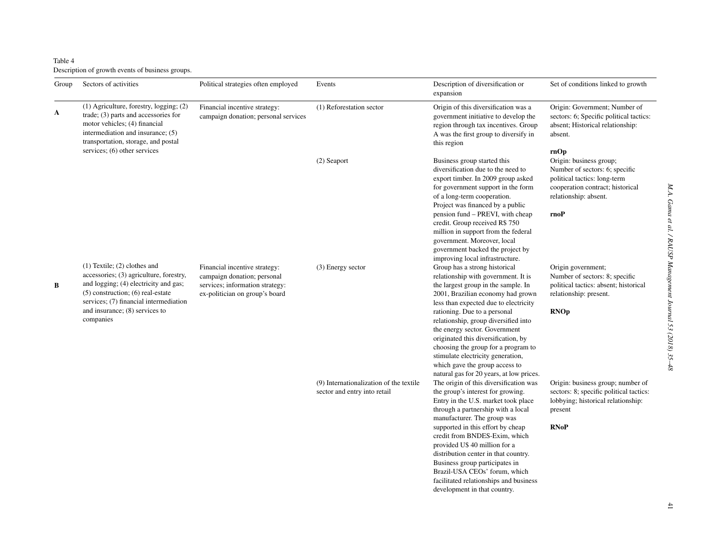<span id="page-7-0"></span>Table 4 Description of growth events of business groups.

| Group | Sectors of activities                                                                                                                                                                                   | Political strategies often employed                                                                                               | Events                                                                  | Description of diversification or<br>expansion                                                                                                                                                                                                                                                                                                                                                   | Set of conditions linked to growth                                                                                                                                     |
|-------|---------------------------------------------------------------------------------------------------------------------------------------------------------------------------------------------------------|-----------------------------------------------------------------------------------------------------------------------------------|-------------------------------------------------------------------------|--------------------------------------------------------------------------------------------------------------------------------------------------------------------------------------------------------------------------------------------------------------------------------------------------------------------------------------------------------------------------------------------------|------------------------------------------------------------------------------------------------------------------------------------------------------------------------|
| A     | (1) Agriculture, forestry, logging; (2)<br>trade; $(3)$ parts and accessories for<br>motor vehicles; (4) financial<br>intermediation and insurance; (5)<br>transportation, storage, and postal          | Financial incentive strategy:<br>campaign donation; personal services                                                             | (1) Reforestation sector                                                | Origin of this diversification was a<br>government initiative to develop the<br>region through tax incentives. Group<br>A was the first group to diversify in<br>this region                                                                                                                                                                                                                     | Origin: Government; Number of<br>sectors: 6; Specific political tactics:<br>absent; Historical relationship:<br>absent.                                                |
|       | services; (6) other services                                                                                                                                                                            |                                                                                                                                   | (2) Seaport                                                             | Business group started this<br>diversification due to the need to<br>export timber. In 2009 group asked<br>for government support in the form<br>of a long-term cooperation.<br>Project was financed by a public<br>pension fund – PREVI, with cheap<br>credit. Group received R\$ 750<br>million in support from the federal<br>government. Moreover, local<br>government backed the project by | rnOp<br>Origin: business group;<br>Number of sectors: 6; specific<br>political tactics: long-term<br>cooperation contract; historical<br>relationship: absent.<br>rnoP |
| B     | $(1)$ Textile; $(2)$ clothes and<br>accessories; (3) agriculture, forestry,<br>and logging; (4) electricity and gas;<br>$(5)$ construction; $(6)$ real-estate<br>services; (7) financial intermediation | Financial incentive strategy:<br>campaign donation; personal<br>services; information strategy:<br>ex-politician on group's board | (3) Energy sector                                                       | improving local infrastructure.<br>Group has a strong historical<br>relationship with government. It is<br>the largest group in the sample. In<br>2001, Brazilian economy had grown<br>less than expected due to electricity                                                                                                                                                                     | Origin government;<br>Number of sectors: 8; specific<br>political tactics: absent; historical<br>relationship: present.                                                |
|       | and insurance; (8) services to<br>companies                                                                                                                                                             |                                                                                                                                   |                                                                         | rationing. Due to a personal<br>relationship, group diversified into<br>the energy sector. Government<br>originated this diversification, by<br>choosing the group for a program to<br>stimulate electricity generation,<br>which gave the group access to<br>natural gas for 20 years, at low prices.                                                                                           | <b>RNOp</b>                                                                                                                                                            |
|       |                                                                                                                                                                                                         |                                                                                                                                   | (9) Internationalization of the textile<br>sector and entry into retail | The origin of this diversification was<br>the group's interest for growing.<br>Entry in the U.S. market took place<br>through a partnership with a local<br>manufacturer. The group was                                                                                                                                                                                                          | Origin: business group; number of<br>sectors: 8; specific political tactics:<br>lobbying; historical relationship:<br>present                                          |
|       |                                                                                                                                                                                                         |                                                                                                                                   |                                                                         | supported in this effort by cheap<br>credit from BNDES-Exim, which<br>provided U\$ 40 million for a<br>distribution center in that country.<br>Business group participates in<br>Brazil-USA CEOs' forum, which<br>facilitated relationships and business<br>development in that country.                                                                                                         | <b>RNoP</b>                                                                                                                                                            |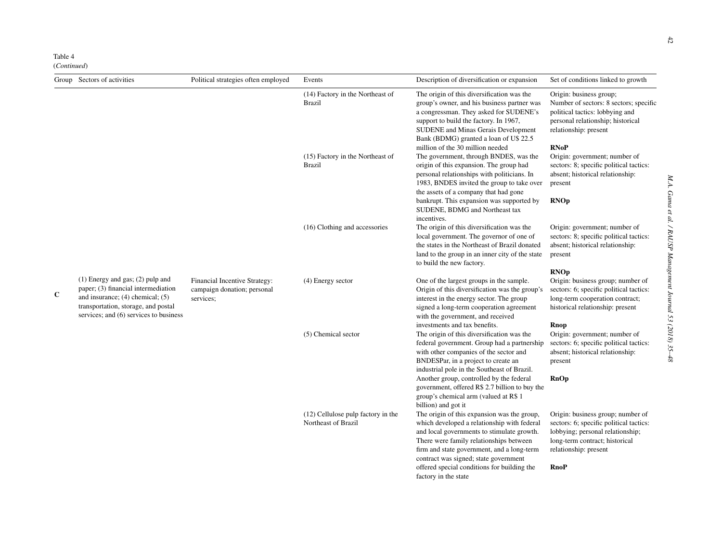Table 4

(*Continued*)

|             | Group Sectors of activities                                                                                                                                                                          | Political strategies often employed                                       | Events                                                    | Description of diversification or expansion                                                                                                                                                                                                                                                                                                       | Set of conditions linked to growth                                                                                                                                                         |
|-------------|------------------------------------------------------------------------------------------------------------------------------------------------------------------------------------------------------|---------------------------------------------------------------------------|-----------------------------------------------------------|---------------------------------------------------------------------------------------------------------------------------------------------------------------------------------------------------------------------------------------------------------------------------------------------------------------------------------------------------|--------------------------------------------------------------------------------------------------------------------------------------------------------------------------------------------|
|             |                                                                                                                                                                                                      |                                                                           | (14) Factory in the Northeast of<br><b>Brazil</b>         | The origin of this diversification was the<br>group's owner, and his business partner was<br>a congressman. They asked for SUDENE's<br>support to build the factory. In 1967,<br><b>SUDENE</b> and Minas Gerais Development<br>Bank (BDMG) granted a loan of U\$ 22.5                                                                             | Origin: business group;<br>Number of sectors: 8 sectors; specific<br>political tactics: lobbying and<br>personal relationship; historical<br>relationship: present                         |
|             |                                                                                                                                                                                                      |                                                                           | (15) Factory in the Northeast of<br><b>Brazil</b>         | million of the 30 million needed<br>The government, through BNDES, was the<br>origin of this expansion. The group had<br>personal relationships with politicians. In<br>1983, BNDES invited the group to take over                                                                                                                                | <b>RNoP</b><br>Origin: government; number of<br>sectors: 8; specific political tactics:<br>absent; historical relationship:<br>present                                                     |
|             |                                                                                                                                                                                                      |                                                                           |                                                           | the assets of a company that had gone<br>bankrupt. This expansion was supported by<br>SUDENE, BDMG and Northeast tax<br>incentives.                                                                                                                                                                                                               | <b>RNOp</b>                                                                                                                                                                                |
|             |                                                                                                                                                                                                      |                                                                           | (16) Clothing and accessories                             | The origin of this diversification was the<br>local government. The governor of one of<br>the states in the Northeast of Brazil donated<br>land to the group in an inner city of the state<br>to build the new factory.                                                                                                                           | Origin: government; number of<br>sectors: 8; specific political tactics:<br>absent; historical relationship:<br>present                                                                    |
| $\mathbf C$ | $(1)$ Energy and gas; $(2)$ pulp and<br>paper; (3) financial intermediation<br>and insurance; $(4)$ chemical; $(5)$<br>transportation, storage, and postal<br>services; and (6) services to business | Financial Incentive Strategy:<br>campaign donation; personal<br>services: | (4) Energy sector                                         | One of the largest groups in the sample.<br>Origin of this diversification was the group's<br>interest in the energy sector. The group<br>signed a long-term cooperation agreement<br>with the government, and received                                                                                                                           | <b>RNOp</b><br>Origin: business group; number of<br>sectors: 6; specific political tactics:<br>long-term cooperation contract;<br>historical relationship: present                         |
|             |                                                                                                                                                                                                      |                                                                           | (5) Chemical sector                                       | investments and tax benefits.<br>The origin of this diversification was the<br>federal government. Group had a partnership<br>with other companies of the sector and<br>BNDESPar, in a project to create an<br>industrial pole in the Southeast of Brazil.                                                                                        | Rnop<br>Origin: government; number of<br>sectors: 6; specific political tactics:<br>absent; historical relationship:<br>present                                                            |
|             |                                                                                                                                                                                                      |                                                                           |                                                           | Another group, controlled by the federal<br>government, offered R\$ 2.7 billion to buy the<br>group's chemical arm (valued at R\$ 1<br>billion) and got it                                                                                                                                                                                        | RnOp                                                                                                                                                                                       |
|             |                                                                                                                                                                                                      |                                                                           | (12) Cellulose pulp factory in the<br>Northeast of Brazil | The origin of this expansion was the group,<br>which developed a relationship with federal<br>and local governments to stimulate growth.<br>There were family relationships between<br>firm and state government, and a long-term<br>contract was signed; state government<br>offered special conditions for building the<br>factory in the state | Origin: business group; number of<br>sectors: 6; specific political tactics:<br>lobbying; personal relationship;<br>long-term contract; historical<br>relationship: present<br><b>RnoP</b> |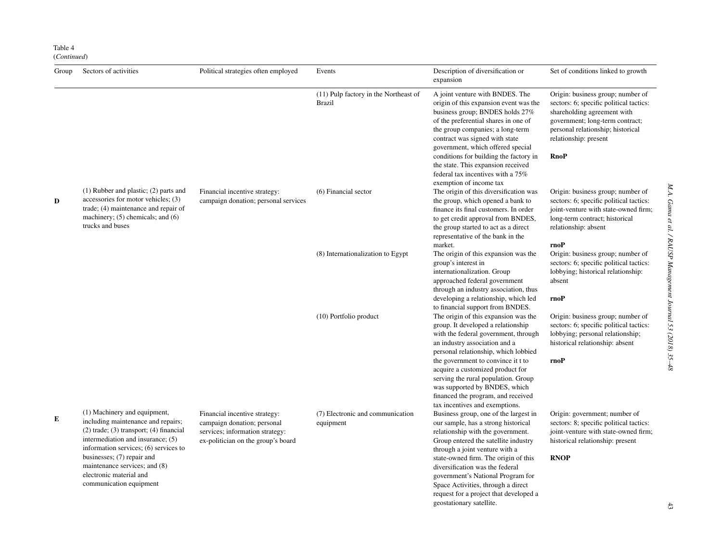Table 4 (*Continued*)

| Group | Sectors of activities                                                                                                                                                                                                                                                                                                  | Political strategies often employed                                                                                                   | Events                                                 | Description of diversification or<br>expansion                                                                                                                                                                                                                                                                                                                                                                                                            | Set of conditions linked to growth                                                                                                                                                                                          |
|-------|------------------------------------------------------------------------------------------------------------------------------------------------------------------------------------------------------------------------------------------------------------------------------------------------------------------------|---------------------------------------------------------------------------------------------------------------------------------------|--------------------------------------------------------|-----------------------------------------------------------------------------------------------------------------------------------------------------------------------------------------------------------------------------------------------------------------------------------------------------------------------------------------------------------------------------------------------------------------------------------------------------------|-----------------------------------------------------------------------------------------------------------------------------------------------------------------------------------------------------------------------------|
|       |                                                                                                                                                                                                                                                                                                                        |                                                                                                                                       | (11) Pulp factory in the Northeast of<br><b>Brazil</b> | A joint venture with BNDES. The<br>origin of this expansion event was the<br>business group; BNDES holds 27%<br>of the preferential shares in one of<br>the group companies; a long-term<br>contract was signed with state<br>government, which offered special<br>conditions for building the factory in<br>the state. This expansion received<br>federal tax incentives with a 75%<br>exemption of income tax                                           | Origin: business group; number of<br>sectors: 6; specific political tactics:<br>shareholding agreement with<br>government; long-term contract;<br>personal relationship; historical<br>relationship: present<br><b>RnoP</b> |
| D     | $(1)$ Rubber and plastic; $(2)$ parts and<br>accessories for motor vehicles; (3)<br>trade; (4) maintenance and repair of<br>machinery; $(5)$ chemicals; and $(6)$<br>trucks and buses                                                                                                                                  | Financial incentive strategy:<br>campaign donation; personal services                                                                 | (6) Financial sector                                   | The origin of this diversification was<br>the group, which opened a bank to<br>finance its final customers. In order<br>to get credit approval from BNDES,<br>the group started to act as a direct<br>representative of the bank in the<br>market.                                                                                                                                                                                                        | Origin: business group; number of<br>sectors: 6; specific political tactics:<br>joint-venture with state-owned firm;<br>long-term contract; historical<br>relationship: absent<br>rnoP                                      |
|       |                                                                                                                                                                                                                                                                                                                        |                                                                                                                                       | (8) Internationalization to Egypt                      | The origin of this expansion was the<br>group's interest in<br>internationalization. Group<br>approached federal government<br>through an industry association, thus<br>developing a relationship, which led                                                                                                                                                                                                                                              | Origin: business group; number of<br>sectors: 6; specific political tactics:<br>lobbying; historical relationship:<br>absent<br>rnoP                                                                                        |
|       |                                                                                                                                                                                                                                                                                                                        |                                                                                                                                       | (10) Portfolio product                                 | to financial support from BNDES.<br>The origin of this expansion was the<br>group. It developed a relationship<br>with the federal government, through<br>an industry association and a<br>personal relationship, which lobbied<br>the government to convince it t to<br>acquire a customized product for<br>serving the rural population. Group<br>was supported by BNDES, which<br>financed the program, and received<br>tax incentives and exemptions. | Origin: business group; number of<br>sectors: 6; specific political tactics:<br>lobbying; personal relationship;<br>historical relationship: absent<br>rnoP                                                                 |
| Е     | (1) Machinery and equipment,<br>including maintenance and repairs;<br>$(2)$ trade; $(3)$ transport; $(4)$ financial<br>intermediation and insurance; (5)<br>information services; (6) services to<br>businesses; (7) repair and<br>maintenance services; and (8)<br>electronic material and<br>communication equipment | Financial incentive strategy:<br>campaign donation; personal<br>services; information strategy:<br>ex-politician on the group's board | (7) Electronic and communication<br>equipment          | Business group, one of the largest in<br>our sample, has a strong historical<br>relationship with the government.<br>Group entered the satellite industry<br>through a joint venture with a<br>state-owned firm. The origin of this<br>diversification was the federal<br>government's National Program for<br>Space Activities, through a direct<br>request for a project that developed a                                                               | Origin: government; number of<br>sectors: 8; specific political tactics:<br>joint-venture with state-owned firm;<br>historical relationship: present<br><b>RNOP</b>                                                         |

geostationary satellite.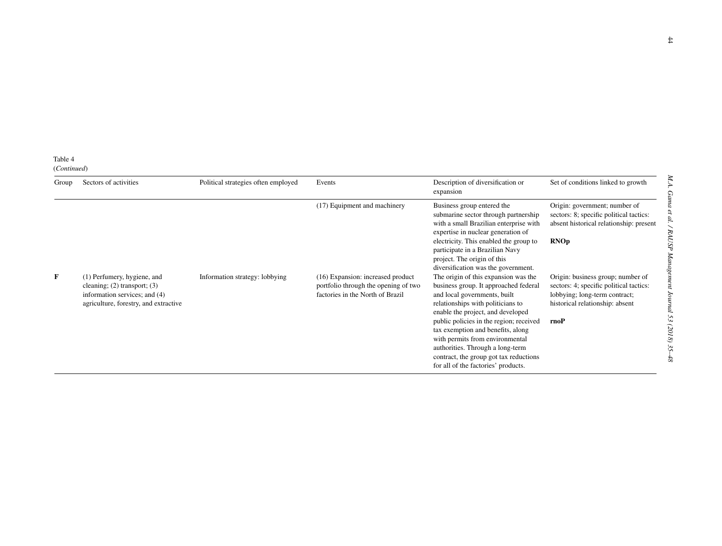| Group | Sectors of activities                                                                                                                     | Political strategies often employed | Events                                                                                                        | Description of diversification or<br>expansion                                                                                                                                                                                                                                                                                                 | Set of conditions linked to growth                                                                                                                       |
|-------|-------------------------------------------------------------------------------------------------------------------------------------------|-------------------------------------|---------------------------------------------------------------------------------------------------------------|------------------------------------------------------------------------------------------------------------------------------------------------------------------------------------------------------------------------------------------------------------------------------------------------------------------------------------------------|----------------------------------------------------------------------------------------------------------------------------------------------------------|
|       |                                                                                                                                           |                                     | (17) Equipment and machinery                                                                                  | Business group entered the<br>submarine sector through partnership<br>with a small Brazilian enterprise with<br>expertise in nuclear generation of                                                                                                                                                                                             | Origin: government; number of<br>sectors: 8; specific political tactics:<br>absent historical relationship: present                                      |
|       |                                                                                                                                           |                                     |                                                                                                               | electricity. This enabled the group to<br>participate in a Brazilian Navy<br>project. The origin of this<br>diversification was the government.                                                                                                                                                                                                | <b>RNOp</b>                                                                                                                                              |
| F     | (1) Perfumery, hygiene, and<br>cleaning; $(2)$ transport; $(3)$<br>information services; and (4)<br>agriculture, forestry, and extractive | Information strategy: lobbying      | (16) Expansion: increased product<br>portfolio through the opening of two<br>factories in the North of Brazil | The origin of this expansion was the<br>business group. It approached federal<br>and local governments, built<br>relationships with politicians to<br>enable the project, and developed<br>public policies in the region; received<br>tax exemption and benefits, along<br>with permits from environmental<br>authorities. Through a long-term | Origin: business group; number of<br>sectors: 4; specific political tactics:<br>lobbying; long-term contract;<br>historical relationship: absent<br>rnoP |
|       |                                                                                                                                           |                                     |                                                                                                               | contract, the group got tax reductions<br>for all of the factories' products.                                                                                                                                                                                                                                                                  |                                                                                                                                                          |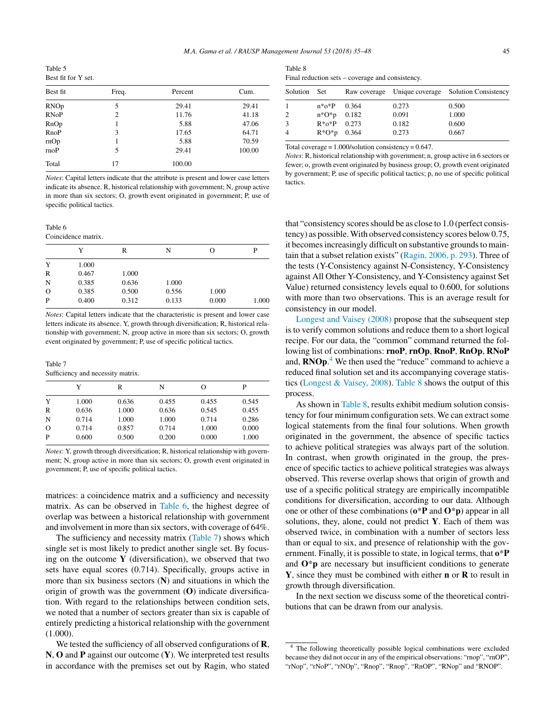<span id="page-11-0"></span>Table 5 Best fit for Y set.

| Best fit    | Freq.          | Percent | Cum.   |
|-------------|----------------|---------|--------|
| <b>RNOp</b> | 5              | 29.41   | 29.41  |
| <b>RNoP</b> | $\overline{2}$ | 11.76   | 41.18  |
| RnOp        | 1              | 5.88    | 47.06  |
| RnoP        | 3              | 17.65   | 64.71  |
| rnOp        | 1              | 5.88    | 70.59  |
| rnoP        | 5              | 29.41   | 100.00 |
| Total       | 17             | 100.00  |        |

*Notes*: Capital letters indicate that the attribute is present and lower case letters indicate its absence. R, historical relationship with government; N, group active in more than six sectors; O, growth event originated in government; P, use of specific political tactics.

Table 6 Coincidence matrix.

|          | Y     | R     | N     | О     | P     |
|----------|-------|-------|-------|-------|-------|
| Y        | 1.000 |       |       |       |       |
| R        | 0.467 | 1.000 |       |       |       |
| N        | 0.385 | 0.636 | 1.000 |       |       |
| $\Omega$ | 0.385 | 0.500 | 0.556 | 1.000 |       |
| P        | 0.400 | 0.312 | 0.133 | 0.000 | 1.000 |
|          |       |       |       |       |       |

*Notes*: Capital letters indicate that the characteristic is present and lower case letters indicate its absence. Y, growth through diversification; R, historical relationship with government; N, group active in more than six sectors; O, growth event originated by government; P, use of specific political tactics.

Table 7 Sufficiency and necessity matrix.

|          | Y     | R     | N     | $\epsilon$ | P     |
|----------|-------|-------|-------|------------|-------|
| Y        | 1.000 | 0.636 | 0.455 | 0.455      | 0.545 |
| R        | 0.636 | 1.000 | 0.636 | 0.545      | 0.455 |
| N        | 0.714 | 1.000 | 1.000 | 0.714      | 0.286 |
| $\Omega$ | 0.714 | 0.857 | 0.714 | 1.000      | 0.000 |
| P        | 0.600 | 0.500 | 0.200 | 0.000      | 1.000 |

*Notes*: Y, growth through diversification; R, historical relationship with government; N, group active in more than six sectors; O, growth event originated in government; P, use of specific political tactics.

matrices: a coincidence matrix and a sufficiency and necessity matrix. As can be observed in Table 6, the highest degree of overlap was between a historical relationship with government and involvement in more than six sectors, with coverage of 64%.

The sufficiency and necessity matrix (Table 7) shows which single set is most likely to predict another single set. By focusing on the outcome **Y** (diversification), we observed that two sets have equal scores (0.714). Specifically, groups active in more than six business sectors (**N**) and situations in which the origin of growth was the government (**O**) indicate diversification. With regard to the relationships between condition sets, we noted that a number of sectors greater than six is capable of entirely predicting a historical relationship with the government (1.000).

We tested the sufficiency of all observed configurations of **R**, **N**, **O** and **P** against our outcome (**Y**). We interpreted test results in accordance with the premises set out by Ragin, who stated

| Table 8                                          |  |
|--------------------------------------------------|--|
| Final reduction sets – coverage and consistency. |  |

| Solution Set |                  |       |       | Raw coverage Unique coverage Solution Consistency |
|--------------|------------------|-------|-------|---------------------------------------------------|
| $\mathbf{1}$ | n*o*P            | 0.364 | 0.273 | 0.500                                             |
| 2            | $n*O*p$ 0.182    |       | 0.091 | 1.000                                             |
| 3            | $R*_{0}*P$ 0.273 |       | 0.182 | 0.600                                             |
| 4            | $R*O*p$ 0.364    |       | 0.273 | 0.667                                             |

Total coverage = 1.000/solution consistency = 0.647.

*Notes*: R, historical relationship with government; n, group active in 6 sectors or fewer; o, growth event originated by business group; O, growth event originated by government; P, use of specific political tactics; p, no use of specific political tactics.

that "consistency scoresshould be as close to 1.0 (perfect consistency) as possible.With observed consistency scores below 0.75, it becomes increasingly difficult on substantive grounds to maintain that a subset relation exists" ([Ragin,](#page-14-0) 2006, p. 293). Three of the tests (Y-Consistency against N-Consistency, Y-Consistency against All Other Y-Consistency, and Y-Consistency against Set Value) returned consistency levels equal to 0.600, for solutions with more than two observations. This is an average result for consistency in our model.

[Longest](#page-13-0) and Vaisey (2008) propose that the subsequent step is to verify common solutions and reduce them to a short logical recipe. For our data, the "common" command returned the following list of combinations: **rnoP**, **rnOp**, **RnoP**, **RnOp**, **RNoP** and, **RNOp**. <sup>4</sup> We then used the "reduce" command to achieve a reduced final solution set and its accompanying coverage statistics [\(Longest](#page-13-0) & Vaisey, 2008). Table 8 shows the output of this process.

As shown in Table 8, results exhibit medium solution consistency for four minimum configuration sets. We can extract some logical statements from the final four solutions. When growth originated in the government, the absence of specific tactics to achieve political strategies was always part of the solution. In contrast, when growth originated in the group, the presence of specific tactics to achieve political strategies was always observed. This reverse overlap shows that origin of growth and use of a specific political strategy are empirically incompatible conditions for diversification, according to our data. Although one or other of these combinations (**o**\***P** and **O**\***p**) appear in all solutions, they, alone, could not predict **Y**. Each of them was observed twice, in combination with a number of sectors less than or equal to six, and presence of relationship with the government. Finally, it is possible to state, in logical terms, that **o**\***P** and **O**\***p** are necessary but insufficient conditions to generate **Y**, since they must be combined with either **n** or **R** to result in growth through diversification.

In the next section we discuss some of the theoretical contributions that can be drawn from our analysis.

<sup>&</sup>lt;sup>4</sup> The following theoretically possible logical combinations were excluded because they did not occur in any of the empirical observations: "rnop", "rnOP", "rNop", "rNoP", "rNOp", "Rnop", "Rnop", "RnOP", "RNop" and "RNOP".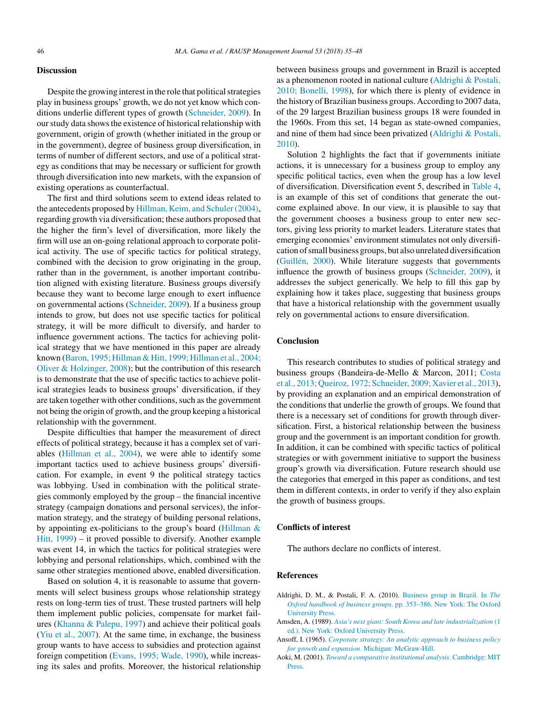#### <span id="page-12-0"></span>**Discussion**

Despite the growing interest in the role that political strategies play in business groups' growth, we do not yet know which conditions underlie different types of growth ([Schneider,](#page-14-0) 2009). In our study data shows the existence of historical relationship with government, origin of growth (whether initiated in the group or in the government), degree of business group diversification, in terms of number of different sectors, and use of a political strategy as conditions that may be necessary or sufficient for growth through diversification into new markets, with the expansion of existing operations as counterfactual.

The first and third solutions seem to extend ideas related to the antecedents proposed by Hillman, Keim, and [Schuler\(2004\),](#page-13-0) regarding growth via diversification; these authors proposed that the higher the firm's level of diversification, more likely the firm will use an on-going relational approach to corporate political activity. The use of specific tactics for political strategy, combined with the decision to grow originating in the group, rather than in the government, is another important contribution aligned with existing literature. Business groups diversify because they want to become large enough to exert influence on governmental actions [\(Schneider,](#page-14-0) 2009). If a business group intends to grow, but does not use specific tactics for political strategy, it will be more difficult to diversify, and harder to influence government actions. The tactics for achieving political strategy that we have mentioned in this paper are already known (Baron, 1995; Hillman & Hitt, 1999; [Hillman](#page-13-0) et al., 2004; Oliver & Holzinger, 2008); but the contribution of this research is to demonstrate that the use of specific tactics to achieve political strategies leads to business groups' diversification, if they are taken together with other conditions, such as the government not being the origin of growth, and the group keeping a historical relationship with the government.

Despite difficulties that hamper the measurement of direct effects of political strategy, because it has a complex set of variables ([Hillman](#page-13-0) et al., 2004), we were able to identify some important tactics used to achieve business groups' diversification. For example, in event 9 the political strategy tactics was lobbying. Used in combination with the political strategies commonly employed by the group – the financial incentive strategy (campaign donations and personal services), the information strategy, and the strategy of building personal relations, by appointing ex-politicians to the group's board ([Hillman](#page-13-0) & Hitt, 1999) – it proved possible to diversify. Another example was event 14, in which the tactics for political strategies were lobbying and personal relationships, which, combined with the same other strategies mentioned above, enabled diversification.

Based on solution 4, it is reasonable to assume that governments will select business groups whose relationship strategy rests on long-term ties of trust. These trusted partners will help them implement public policies, compensate for market failures [\(Khanna](#page-13-0) & Palepu, 1997) and achieve their political goals (Yiu et al., [2007\).](#page-14-0) At the same time, in exchange, the business group wants to have access to subsidies and protection against foreign competition ([Evans,](#page-13-0) 1995; Wade, 1990), while increasing its sales and profits. Moreover, the historical relationship between business groups and government in Brazil is accepted as a phenomenon rooted in national culture (Aldrighi & Postali, 2010; Bonelli, 1998), for which there is plenty of evidence in the history of Brazilian business groups. According to 2007 data, of the 29 largest Brazilian business groups 18 were founded in the 1960s. From this set, 14 began as state-owned companies, and nine of them had since been privatized (Aldrighi & Postali, 2010).

Solution 2 highlights the fact that if governments initiate actions, it is unnecessary for a business group to employ any specific political tactics, even when the group has a low level of diversification. Diversification event 5, described in [Table](#page-7-0) 4, is an example of this set of conditions that generate the outcome explained above. In our view, it is plausible to say that the government chooses a business group to enter new sectors, giving less priority to market leaders. Literature states that emerging economies' environment stimulates not only diversification ofsmall business groups, but also unrelated diversification [\(Guillén,](#page-13-0) 2000). While literature suggests that governments influence the growth of business groups [\(Schneider,](#page-14-0) 2009), it addresses the subject generically. We help to fill this gap by explaining how it takes place, suggesting that business groups that have a historical relationship with the government usually rely on governmental actions to ensure diversification.

### **Conclusion**

This research contributes to studies of political strategy and business groups (Bandeira-de-Mello & Marcon, 2011; [Costa](#page-13-0) et al., 2013; Queiroz, 1972; Schneider, 2009; Xavier et al., 2013), by providing an explanation and an empirical demonstration of the conditions that underlie the growth of groups. We found that there is a necessary set of conditions for growth through diversification. First, a historical relationship between the business group and the government is an important condition for growth. In addition, it can be combined with specific tactics of political strategies or with government initiative to support the business group's growth via diversification. Future research should use the categories that emerged in this paper as conditions, and test them in different contexts, in order to verify if they also explain the growth of business groups.

#### **Conflicts of interest**

The authors declare no conflicts of interest.

#### **References**

- Aldrighi, D. M., & Postali, F. A. (2010). [Business](http://refhub.elsevier.com/S2531-0488(17)30022-6/sbref0005) [group](http://refhub.elsevier.com/S2531-0488(17)30022-6/sbref0005) [in](http://refhub.elsevier.com/S2531-0488(17)30022-6/sbref0005) [Brazil.](http://refhub.elsevier.com/S2531-0488(17)30022-6/sbref0005) [In](http://refhub.elsevier.com/S2531-0488(17)30022-6/sbref0005) *[The](http://refhub.elsevier.com/S2531-0488(17)30022-6/sbref0005) [Oxford](http://refhub.elsevier.com/S2531-0488(17)30022-6/sbref0005) [handbook](http://refhub.elsevier.com/S2531-0488(17)30022-6/sbref0005) [of](http://refhub.elsevier.com/S2531-0488(17)30022-6/sbref0005) [business](http://refhub.elsevier.com/S2531-0488(17)30022-6/sbref0005) [groups](http://refhub.elsevier.com/S2531-0488(17)30022-6/sbref0005)*[.](http://refhub.elsevier.com/S2531-0488(17)30022-6/sbref0005) [pp.](http://refhub.elsevier.com/S2531-0488(17)30022-6/sbref0005) [353](http://refhub.elsevier.com/S2531-0488(17)30022-6/sbref0005)–[386.](http://refhub.elsevier.com/S2531-0488(17)30022-6/sbref0005) [New](http://refhub.elsevier.com/S2531-0488(17)30022-6/sbref0005) [York:](http://refhub.elsevier.com/S2531-0488(17)30022-6/sbref0005) [The](http://refhub.elsevier.com/S2531-0488(17)30022-6/sbref0005) [Oxford](http://refhub.elsevier.com/S2531-0488(17)30022-6/sbref0005) [University](http://refhub.elsevier.com/S2531-0488(17)30022-6/sbref0005) [Press.](http://refhub.elsevier.com/S2531-0488(17)30022-6/sbref0005)
- Amsden, A. (1989). *[Asia's](http://refhub.elsevier.com/S2531-0488(17)30022-6/sbref0010) [next](http://refhub.elsevier.com/S2531-0488(17)30022-6/sbref0010) [giant:](http://refhub.elsevier.com/S2531-0488(17)30022-6/sbref0010) [South](http://refhub.elsevier.com/S2531-0488(17)30022-6/sbref0010) [Korea](http://refhub.elsevier.com/S2531-0488(17)30022-6/sbref0010) [and](http://refhub.elsevier.com/S2531-0488(17)30022-6/sbref0010) [late](http://refhub.elsevier.com/S2531-0488(17)30022-6/sbref0010) [industrialization](http://refhub.elsevier.com/S2531-0488(17)30022-6/sbref0010)* [\(1](http://refhub.elsevier.com/S2531-0488(17)30022-6/sbref0010) [ed.\).](http://refhub.elsevier.com/S2531-0488(17)30022-6/sbref0010) [New](http://refhub.elsevier.com/S2531-0488(17)30022-6/sbref0010) [York:](http://refhub.elsevier.com/S2531-0488(17)30022-6/sbref0010) [Oxford](http://refhub.elsevier.com/S2531-0488(17)30022-6/sbref0010) [University](http://refhub.elsevier.com/S2531-0488(17)30022-6/sbref0010) [Press.](http://refhub.elsevier.com/S2531-0488(17)30022-6/sbref0010)
- Ansoff, I. (1965). *[Corporate](http://refhub.elsevier.com/S2531-0488(17)30022-6/sbref0015) [strategy:](http://refhub.elsevier.com/S2531-0488(17)30022-6/sbref0015) [An](http://refhub.elsevier.com/S2531-0488(17)30022-6/sbref0015) [analytic](http://refhub.elsevier.com/S2531-0488(17)30022-6/sbref0015) [approach](http://refhub.elsevier.com/S2531-0488(17)30022-6/sbref0015) [to](http://refhub.elsevier.com/S2531-0488(17)30022-6/sbref0015) [business](http://refhub.elsevier.com/S2531-0488(17)30022-6/sbref0015) [policy](http://refhub.elsevier.com/S2531-0488(17)30022-6/sbref0015) [for](http://refhub.elsevier.com/S2531-0488(17)30022-6/sbref0015) [growth](http://refhub.elsevier.com/S2531-0488(17)30022-6/sbref0015) [and](http://refhub.elsevier.com/S2531-0488(17)30022-6/sbref0015) [expansion](http://refhub.elsevier.com/S2531-0488(17)30022-6/sbref0015)*[.](http://refhub.elsevier.com/S2531-0488(17)30022-6/sbref0015) [Michigan:](http://refhub.elsevier.com/S2531-0488(17)30022-6/sbref0015) [McGraw-Hill.](http://refhub.elsevier.com/S2531-0488(17)30022-6/sbref0015)
- Aoki, M. (2001). *[Toward](http://refhub.elsevier.com/S2531-0488(17)30022-6/sbref0020) [a](http://refhub.elsevier.com/S2531-0488(17)30022-6/sbref0020) [comparative](http://refhub.elsevier.com/S2531-0488(17)30022-6/sbref0020) [institutional](http://refhub.elsevier.com/S2531-0488(17)30022-6/sbref0020) [analysis](http://refhub.elsevier.com/S2531-0488(17)30022-6/sbref0020)*[.](http://refhub.elsevier.com/S2531-0488(17)30022-6/sbref0020) [Cambridge:](http://refhub.elsevier.com/S2531-0488(17)30022-6/sbref0020) [MIT](http://refhub.elsevier.com/S2531-0488(17)30022-6/sbref0020) [Press.](http://refhub.elsevier.com/S2531-0488(17)30022-6/sbref0020)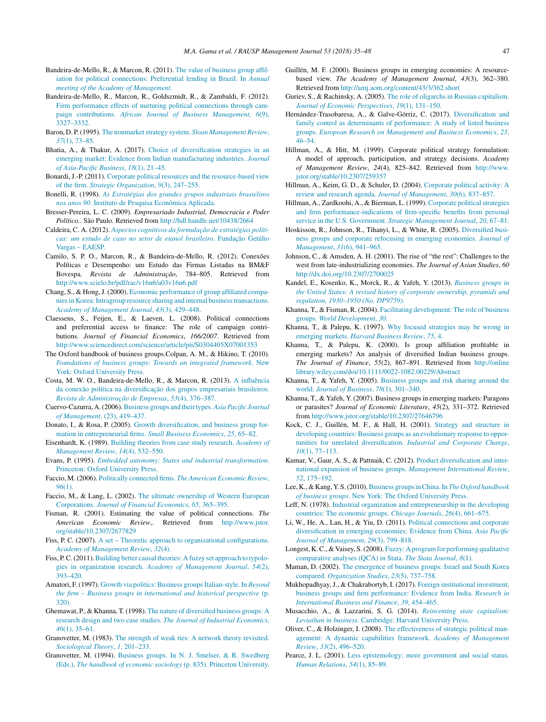- <span id="page-13-0"></span>Bandeira-de-Mello, R., & Marcon, R. (2011). [The](http://refhub.elsevier.com/S2531-0488(17)30022-6/sbref0370) [value](http://refhub.elsevier.com/S2531-0488(17)30022-6/sbref0370) [of](http://refhub.elsevier.com/S2531-0488(17)30022-6/sbref0370) [business](http://refhub.elsevier.com/S2531-0488(17)30022-6/sbref0370) [group](http://refhub.elsevier.com/S2531-0488(17)30022-6/sbref0370) [affil](http://refhub.elsevier.com/S2531-0488(17)30022-6/sbref0370)[iation](http://refhub.elsevier.com/S2531-0488(17)30022-6/sbref0370) [for](http://refhub.elsevier.com/S2531-0488(17)30022-6/sbref0370) [political](http://refhub.elsevier.com/S2531-0488(17)30022-6/sbref0370) [connections:](http://refhub.elsevier.com/S2531-0488(17)30022-6/sbref0370) [Preferential](http://refhub.elsevier.com/S2531-0488(17)30022-6/sbref0370) [lending](http://refhub.elsevier.com/S2531-0488(17)30022-6/sbref0370) [in](http://refhub.elsevier.com/S2531-0488(17)30022-6/sbref0370) [Brazil.](http://refhub.elsevier.com/S2531-0488(17)30022-6/sbref0370) [In](http://refhub.elsevier.com/S2531-0488(17)30022-6/sbref0370) *[Annual](http://refhub.elsevier.com/S2531-0488(17)30022-6/sbref0370) [meeting](http://refhub.elsevier.com/S2531-0488(17)30022-6/sbref0370) [of](http://refhub.elsevier.com/S2531-0488(17)30022-6/sbref0370) [the](http://refhub.elsevier.com/S2531-0488(17)30022-6/sbref0370) [Academy](http://refhub.elsevier.com/S2531-0488(17)30022-6/sbref0370) [of](http://refhub.elsevier.com/S2531-0488(17)30022-6/sbref0370) [Management](http://refhub.elsevier.com/S2531-0488(17)30022-6/sbref0370)*[.](http://refhub.elsevier.com/S2531-0488(17)30022-6/sbref0370)
- Bandeira-de-Mello, R., Marcon, R., Goldszmidt, R., & Zambaldi, F. (2012). [Firm](http://refhub.elsevier.com/S2531-0488(17)30022-6/sbref0025) [performance](http://refhub.elsevier.com/S2531-0488(17)30022-6/sbref0025) [effects](http://refhub.elsevier.com/S2531-0488(17)30022-6/sbref0025) [of](http://refhub.elsevier.com/S2531-0488(17)30022-6/sbref0025) [nurturing](http://refhub.elsevier.com/S2531-0488(17)30022-6/sbref0025) [political](http://refhub.elsevier.com/S2531-0488(17)30022-6/sbref0025) [connections](http://refhub.elsevier.com/S2531-0488(17)30022-6/sbref0025) [through](http://refhub.elsevier.com/S2531-0488(17)30022-6/sbref0025) [cam](http://refhub.elsevier.com/S2531-0488(17)30022-6/sbref0025)[paign](http://refhub.elsevier.com/S2531-0488(17)30022-6/sbref0025) [contributions.](http://refhub.elsevier.com/S2531-0488(17)30022-6/sbref0025) *[African](http://refhub.elsevier.com/S2531-0488(17)30022-6/sbref0025) [Journal](http://refhub.elsevier.com/S2531-0488(17)30022-6/sbref0025) [of](http://refhub.elsevier.com/S2531-0488(17)30022-6/sbref0025) [Business](http://refhub.elsevier.com/S2531-0488(17)30022-6/sbref0025) [Management](http://refhub.elsevier.com/S2531-0488(17)30022-6/sbref0025)*[,](http://refhub.elsevier.com/S2531-0488(17)30022-6/sbref0025) *[6](http://refhub.elsevier.com/S2531-0488(17)30022-6/sbref0025)*[\(9\),](http://refhub.elsevier.com/S2531-0488(17)30022-6/sbref0025) [3327–3332.](http://refhub.elsevier.com/S2531-0488(17)30022-6/sbref0025)
- Baron, D. P. (1995). [The](http://refhub.elsevier.com/S2531-0488(17)30022-6/sbref0030) nonmarket strategy [system.](http://refhub.elsevier.com/S2531-0488(17)30022-6/sbref0030) *[Sloan](http://refhub.elsevier.com/S2531-0488(17)30022-6/sbref0030) [Management](http://refhub.elsevier.com/S2531-0488(17)30022-6/sbref0030) [Review](http://refhub.elsevier.com/S2531-0488(17)30022-6/sbref0030)*[,](http://refhub.elsevier.com/S2531-0488(17)30022-6/sbref0030) *[37](http://refhub.elsevier.com/S2531-0488(17)30022-6/sbref0030)*[\(1\),](http://refhub.elsevier.com/S2531-0488(17)30022-6/sbref0030) [73](http://refhub.elsevier.com/S2531-0488(17)30022-6/sbref0030)–[85.](http://refhub.elsevier.com/S2531-0488(17)30022-6/sbref0030)
- Bhatia, A., & Thakur, A. (2017). [Choice](http://refhub.elsevier.com/S2531-0488(17)30022-6/sbref0035) [of](http://refhub.elsevier.com/S2531-0488(17)30022-6/sbref0035) [diversification](http://refhub.elsevier.com/S2531-0488(17)30022-6/sbref0035) [strategies](http://refhub.elsevier.com/S2531-0488(17)30022-6/sbref0035) [in](http://refhub.elsevier.com/S2531-0488(17)30022-6/sbref0035) [an](http://refhub.elsevier.com/S2531-0488(17)30022-6/sbref0035) [emerging](http://refhub.elsevier.com/S2531-0488(17)30022-6/sbref0035) [market:](http://refhub.elsevier.com/S2531-0488(17)30022-6/sbref0035) [Evidence](http://refhub.elsevier.com/S2531-0488(17)30022-6/sbref0035) [from](http://refhub.elsevier.com/S2531-0488(17)30022-6/sbref0035) [Indian](http://refhub.elsevier.com/S2531-0488(17)30022-6/sbref0035) [manufacturing](http://refhub.elsevier.com/S2531-0488(17)30022-6/sbref0035) [industries.](http://refhub.elsevier.com/S2531-0488(17)30022-6/sbref0035) *[Journal](http://refhub.elsevier.com/S2531-0488(17)30022-6/sbref0035) [of](http://refhub.elsevier.com/S2531-0488(17)30022-6/sbref0035) [Asia-Pacific](http://refhub.elsevier.com/S2531-0488(17)30022-6/sbref0035) [Business](http://refhub.elsevier.com/S2531-0488(17)30022-6/sbref0035)*[,](http://refhub.elsevier.com/S2531-0488(17)30022-6/sbref0035) *[18](http://refhub.elsevier.com/S2531-0488(17)30022-6/sbref0035)*[\(1\),](http://refhub.elsevier.com/S2531-0488(17)30022-6/sbref0035) [21–45.](http://refhub.elsevier.com/S2531-0488(17)30022-6/sbref0035)
- Bonardi, J.-P. (2011). [Corporate](http://refhub.elsevier.com/S2531-0488(17)30022-6/sbref0040) [political](http://refhub.elsevier.com/S2531-0488(17)30022-6/sbref0040) [resources](http://refhub.elsevier.com/S2531-0488(17)30022-6/sbref0040) [and](http://refhub.elsevier.com/S2531-0488(17)30022-6/sbref0040) [the](http://refhub.elsevier.com/S2531-0488(17)30022-6/sbref0040) [resource-based](http://refhub.elsevier.com/S2531-0488(17)30022-6/sbref0040) [view](http://refhub.elsevier.com/S2531-0488(17)30022-6/sbref0040) [of](http://refhub.elsevier.com/S2531-0488(17)30022-6/sbref0040) [the](http://refhub.elsevier.com/S2531-0488(17)30022-6/sbref0040) [firm.](http://refhub.elsevier.com/S2531-0488(17)30022-6/sbref0040) *[Strategic](http://refhub.elsevier.com/S2531-0488(17)30022-6/sbref0040) [Organization](http://refhub.elsevier.com/S2531-0488(17)30022-6/sbref0040)*[,](http://refhub.elsevier.com/S2531-0488(17)30022-6/sbref0040) *[9](http://refhub.elsevier.com/S2531-0488(17)30022-6/sbref0040)*[\(3\),](http://refhub.elsevier.com/S2531-0488(17)30022-6/sbref0040) [247–255.](http://refhub.elsevier.com/S2531-0488(17)30022-6/sbref0040)
- Bonelli, R. (1998). *[As](http://refhub.elsevier.com/S2531-0488(17)30022-6/sbref0045) [Estratégias](http://refhub.elsevier.com/S2531-0488(17)30022-6/sbref0045) [dos](http://refhub.elsevier.com/S2531-0488(17)30022-6/sbref0045) [grandes](http://refhub.elsevier.com/S2531-0488(17)30022-6/sbref0045) [grupos](http://refhub.elsevier.com/S2531-0488(17)30022-6/sbref0045) [industriais](http://refhub.elsevier.com/S2531-0488(17)30022-6/sbref0045) [brasieliros](http://refhub.elsevier.com/S2531-0488(17)30022-6/sbref0045) [nos](http://refhub.elsevier.com/S2531-0488(17)30022-6/sbref0045) [anos](http://refhub.elsevier.com/S2531-0488(17)30022-6/sbref0045) [90](http://refhub.elsevier.com/S2531-0488(17)30022-6/sbref0045)*[.](http://refhub.elsevier.com/S2531-0488(17)30022-6/sbref0045) [Instituto](http://refhub.elsevier.com/S2531-0488(17)30022-6/sbref0045) [de](http://refhub.elsevier.com/S2531-0488(17)30022-6/sbref0045) [Pesquisa](http://refhub.elsevier.com/S2531-0488(17)30022-6/sbref0045) [Econômica](http://refhub.elsevier.com/S2531-0488(17)30022-6/sbref0045) [Aplicada.](http://refhub.elsevier.com/S2531-0488(17)30022-6/sbref0045)
- Bresser-Pereira, L. C. (2009). *Empresariado Industrial, Democracia e Poder Político*.. São Paulo. Retrieved from <http://hdl.handle.net/10438/2664>
- Caldeira, C. A. (2012). *[Aspectos](http://refhub.elsevier.com/S2531-0488(17)30022-6/sbref0055) [cognitivos](http://refhub.elsevier.com/S2531-0488(17)30022-6/sbref0055) [da](http://refhub.elsevier.com/S2531-0488(17)30022-6/sbref0055) [formula¸cão](http://refhub.elsevier.com/S2531-0488(17)30022-6/sbref0055) [de](http://refhub.elsevier.com/S2531-0488(17)30022-6/sbref0055) [estratégias](http://refhub.elsevier.com/S2531-0488(17)30022-6/sbref0055) [políti](http://refhub.elsevier.com/S2531-0488(17)30022-6/sbref0055)[cas:](http://refhub.elsevier.com/S2531-0488(17)30022-6/sbref0055) [um](http://refhub.elsevier.com/S2531-0488(17)30022-6/sbref0055) [estudo](http://refhub.elsevier.com/S2531-0488(17)30022-6/sbref0055) [de](http://refhub.elsevier.com/S2531-0488(17)30022-6/sbref0055) [caso](http://refhub.elsevier.com/S2531-0488(17)30022-6/sbref0055) [no](http://refhub.elsevier.com/S2531-0488(17)30022-6/sbref0055) [setor](http://refhub.elsevier.com/S2531-0488(17)30022-6/sbref0055) [de](http://refhub.elsevier.com/S2531-0488(17)30022-6/sbref0055) [etanol](http://refhub.elsevier.com/S2531-0488(17)30022-6/sbref0055) [brasileiro](http://refhub.elsevier.com/S2531-0488(17)30022-6/sbref0055)*[.](http://refhub.elsevier.com/S2531-0488(17)30022-6/sbref0055) [Fundac¸ão](http://refhub.elsevier.com/S2531-0488(17)30022-6/sbref0055) [Getúlio](http://refhub.elsevier.com/S2531-0488(17)30022-6/sbref0055) [Vargas](http://refhub.elsevier.com/S2531-0488(17)30022-6/sbref0055) – [EAESP.](http://refhub.elsevier.com/S2531-0488(17)30022-6/sbref0055)
- Camilo, S. P. O., Marcon, R., & Bandeira-de-Mello, R. (2012). Conexões Políticas e Desempenho: um Estudo das Firmas Listadas na BM&F Bovespa. Revista de Administração, 784-805. Retrieved from <http://www.scielo.br/pdf/rac/v16n6/a03v16n6.pdf>
- Chang, S., & Hong,J. (2000). [Economic](http://refhub.elsevier.com/S2531-0488(17)30022-6/sbref0065) [performance](http://refhub.elsevier.com/S2531-0488(17)30022-6/sbref0065) [of](http://refhub.elsevier.com/S2531-0488(17)30022-6/sbref0065) [group](http://refhub.elsevier.com/S2531-0488(17)30022-6/sbref0065) [affiliated](http://refhub.elsevier.com/S2531-0488(17)30022-6/sbref0065) [compa](http://refhub.elsevier.com/S2531-0488(17)30022-6/sbref0065)nies in Korea: Intragroup [resource](http://refhub.elsevier.com/S2531-0488(17)30022-6/sbref0065) [sharing](http://refhub.elsevier.com/S2531-0488(17)30022-6/sbref0065) [and](http://refhub.elsevier.com/S2531-0488(17)30022-6/sbref0065) [internal](http://refhub.elsevier.com/S2531-0488(17)30022-6/sbref0065) business transactions. *[Academy](http://refhub.elsevier.com/S2531-0488(17)30022-6/sbref0065) [of](http://refhub.elsevier.com/S2531-0488(17)30022-6/sbref0065) [Management](http://refhub.elsevier.com/S2531-0488(17)30022-6/sbref0065) [Journal](http://refhub.elsevier.com/S2531-0488(17)30022-6/sbref0065)*[,](http://refhub.elsevier.com/S2531-0488(17)30022-6/sbref0065) *[43](http://refhub.elsevier.com/S2531-0488(17)30022-6/sbref0065)*[\(3\),](http://refhub.elsevier.com/S2531-0488(17)30022-6/sbref0065) [429–448.](http://refhub.elsevier.com/S2531-0488(17)30022-6/sbref0065)
- Claessens, S., Feijen, E., & Laeven, L. (2008). Political connections and preferential access to finance: The role of campaign contributions. *Journal of Financial Economics*, *166/2007*. Retrieved from <http://www.sciencedirect.com/science/article/pii/S0304405X07001353>
- The Oxford handbook of business groups.Colpan, A. M., & Hikino, T. (2010). *[Foundations](http://refhub.elsevier.com/S2531-0488(17)30022-6/sbref0075) [of](http://refhub.elsevier.com/S2531-0488(17)30022-6/sbref0075) [business](http://refhub.elsevier.com/S2531-0488(17)30022-6/sbref0075) [groups:](http://refhub.elsevier.com/S2531-0488(17)30022-6/sbref0075) [Towards](http://refhub.elsevier.com/S2531-0488(17)30022-6/sbref0075) [an](http://refhub.elsevier.com/S2531-0488(17)30022-6/sbref0075) [integrated](http://refhub.elsevier.com/S2531-0488(17)30022-6/sbref0075) [framework](http://refhub.elsevier.com/S2531-0488(17)30022-6/sbref0075)*[.](http://refhub.elsevier.com/S2531-0488(17)30022-6/sbref0075) [New](http://refhub.elsevier.com/S2531-0488(17)30022-6/sbref0075) [York:](http://refhub.elsevier.com/S2531-0488(17)30022-6/sbref0075) [Oxford](http://refhub.elsevier.com/S2531-0488(17)30022-6/sbref0075) [University](http://refhub.elsevier.com/S2531-0488(17)30022-6/sbref0075) [Press.](http://refhub.elsevier.com/S2531-0488(17)30022-6/sbref0075)
- Costa, M. W. O., Bandeira-de-Mello, R., & Marcon, R. (2013). [A](http://refhub.elsevier.com/S2531-0488(17)30022-6/sbref0080) [influência](http://refhub.elsevier.com/S2531-0488(17)30022-6/sbref0080) [da](http://refhub.elsevier.com/S2531-0488(17)30022-6/sbref0080) [conexão](http://refhub.elsevier.com/S2531-0488(17)30022-6/sbref0080) [política](http://refhub.elsevier.com/S2531-0488(17)30022-6/sbref0080) [na](http://refhub.elsevier.com/S2531-0488(17)30022-6/sbref0080) diversificação [dos](http://refhub.elsevier.com/S2531-0488(17)30022-6/sbref0080) [grupos](http://refhub.elsevier.com/S2531-0488(17)30022-6/sbref0080) [empresariais](http://refhub.elsevier.com/S2531-0488(17)30022-6/sbref0080) [brasileiros.](http://refhub.elsevier.com/S2531-0488(17)30022-6/sbref0080) *[Revista](http://refhub.elsevier.com/S2531-0488(17)30022-6/sbref0080) [de](http://refhub.elsevier.com/S2531-0488(17)30022-6/sbref0080) [Administra¸cão](http://refhub.elsevier.com/S2531-0488(17)30022-6/sbref0080) [de](http://refhub.elsevier.com/S2531-0488(17)30022-6/sbref0080) [Empresas](http://refhub.elsevier.com/S2531-0488(17)30022-6/sbref0080)*[,](http://refhub.elsevier.com/S2531-0488(17)30022-6/sbref0080) *[53](http://refhub.elsevier.com/S2531-0488(17)30022-6/sbref0080)*[\(4\),](http://refhub.elsevier.com/S2531-0488(17)30022-6/sbref0080) [376–387.](http://refhub.elsevier.com/S2531-0488(17)30022-6/sbref0080)
- Cuervo-Cazurra, A.(2006).[Business](http://refhub.elsevier.com/S2531-0488(17)30022-6/sbref0085) [groups](http://refhub.elsevier.com/S2531-0488(17)30022-6/sbref0085) [and](http://refhub.elsevier.com/S2531-0488(17)30022-6/sbref0085) [theirtypes.](http://refhub.elsevier.com/S2531-0488(17)30022-6/sbref0085)*[AsiaPacific](http://refhub.elsevier.com/S2531-0488(17)30022-6/sbref0085) [Journal](http://refhub.elsevier.com/S2531-0488(17)30022-6/sbref0085) [of](http://refhub.elsevier.com/S2531-0488(17)30022-6/sbref0085) [Management](http://refhub.elsevier.com/S2531-0488(17)30022-6/sbref0085)*[,](http://refhub.elsevier.com/S2531-0488(17)30022-6/sbref0085) [\(23\),](http://refhub.elsevier.com/S2531-0488(17)30022-6/sbref0085) [419–437.](http://refhub.elsevier.com/S2531-0488(17)30022-6/sbref0085)
- Donato, I., & Rosa, P. (2005). [Growth](http://refhub.elsevier.com/S2531-0488(17)30022-6/sbref0090) [diversification,](http://refhub.elsevier.com/S2531-0488(17)30022-6/sbref0090) [and](http://refhub.elsevier.com/S2531-0488(17)30022-6/sbref0090) [business](http://refhub.elsevier.com/S2531-0488(17)30022-6/sbref0090) [group](http://refhub.elsevier.com/S2531-0488(17)30022-6/sbref0090) [for](http://refhub.elsevier.com/S2531-0488(17)30022-6/sbref0090)[mation](http://refhub.elsevier.com/S2531-0488(17)30022-6/sbref0090) [in](http://refhub.elsevier.com/S2531-0488(17)30022-6/sbref0090) [entrepreneurial](http://refhub.elsevier.com/S2531-0488(17)30022-6/sbref0090) [firms.](http://refhub.elsevier.com/S2531-0488(17)30022-6/sbref0090) *[Small](http://refhub.elsevier.com/S2531-0488(17)30022-6/sbref0090) [Business](http://refhub.elsevier.com/S2531-0488(17)30022-6/sbref0090) [Economics](http://refhub.elsevier.com/S2531-0488(17)30022-6/sbref0090)*[,](http://refhub.elsevier.com/S2531-0488(17)30022-6/sbref0090) *[25](http://refhub.elsevier.com/S2531-0488(17)30022-6/sbref0090)*[,](http://refhub.elsevier.com/S2531-0488(17)30022-6/sbref0090) [65](http://refhub.elsevier.com/S2531-0488(17)30022-6/sbref0090)–[82.](http://refhub.elsevier.com/S2531-0488(17)30022-6/sbref0090)
- Eisenhardt, K. (1989). [Building](http://refhub.elsevier.com/S2531-0488(17)30022-6/sbref0095) [theories](http://refhub.elsevier.com/S2531-0488(17)30022-6/sbref0095) [from](http://refhub.elsevier.com/S2531-0488(17)30022-6/sbref0095) [case](http://refhub.elsevier.com/S2531-0488(17)30022-6/sbref0095) [study](http://refhub.elsevier.com/S2531-0488(17)30022-6/sbref0095) [research.](http://refhub.elsevier.com/S2531-0488(17)30022-6/sbref0095) *[Academy](http://refhub.elsevier.com/S2531-0488(17)30022-6/sbref0095) [of](http://refhub.elsevier.com/S2531-0488(17)30022-6/sbref0095) [Management](http://refhub.elsevier.com/S2531-0488(17)30022-6/sbref0095) [Review](http://refhub.elsevier.com/S2531-0488(17)30022-6/sbref0095)*[,](http://refhub.elsevier.com/S2531-0488(17)30022-6/sbref0095) *[14](http://refhub.elsevier.com/S2531-0488(17)30022-6/sbref0095)*[\(4\),](http://refhub.elsevier.com/S2531-0488(17)30022-6/sbref0095) [532–550.](http://refhub.elsevier.com/S2531-0488(17)30022-6/sbref0095)
- Evans, P. (1995). *[Embedded](http://refhub.elsevier.com/S2531-0488(17)30022-6/sbref0100) [autonomy:](http://refhub.elsevier.com/S2531-0488(17)30022-6/sbref0100) [States](http://refhub.elsevier.com/S2531-0488(17)30022-6/sbref0100) [and](http://refhub.elsevier.com/S2531-0488(17)30022-6/sbref0100) [industrial](http://refhub.elsevier.com/S2531-0488(17)30022-6/sbref0100) [transformation](http://refhub.elsevier.com/S2531-0488(17)30022-6/sbref0100)*[.](http://refhub.elsevier.com/S2531-0488(17)30022-6/sbref0100) [Princeton:](http://refhub.elsevier.com/S2531-0488(17)30022-6/sbref0100) [Oxford](http://refhub.elsevier.com/S2531-0488(17)30022-6/sbref0100) [University](http://refhub.elsevier.com/S2531-0488(17)30022-6/sbref0100) [Press.](http://refhub.elsevier.com/S2531-0488(17)30022-6/sbref0100)
- Faccio, M. (2006). [Politically](http://refhub.elsevier.com/S2531-0488(17)30022-6/sbref0105) [connected](http://refhub.elsevier.com/S2531-0488(17)30022-6/sbref0105) [firms.](http://refhub.elsevier.com/S2531-0488(17)30022-6/sbref0105) *[The](http://refhub.elsevier.com/S2531-0488(17)30022-6/sbref0105) [American](http://refhub.elsevier.com/S2531-0488(17)30022-6/sbref0105) [Economic](http://refhub.elsevier.com/S2531-0488(17)30022-6/sbref0105) [Review](http://refhub.elsevier.com/S2531-0488(17)30022-6/sbref0105)*[,](http://refhub.elsevier.com/S2531-0488(17)30022-6/sbref0105) *[96](http://refhub.elsevier.com/S2531-0488(17)30022-6/sbref0105)*[\(1\).](http://refhub.elsevier.com/S2531-0488(17)30022-6/sbref0105)
- Faccio, M., & Lang, L. (2002). [The](http://refhub.elsevier.com/S2531-0488(17)30022-6/sbref0110) [ultimate](http://refhub.elsevier.com/S2531-0488(17)30022-6/sbref0110) [ownership](http://refhub.elsevier.com/S2531-0488(17)30022-6/sbref0110) [of](http://refhub.elsevier.com/S2531-0488(17)30022-6/sbref0110) [Western](http://refhub.elsevier.com/S2531-0488(17)30022-6/sbref0110) [European](http://refhub.elsevier.com/S2531-0488(17)30022-6/sbref0110) [Corporations.](http://refhub.elsevier.com/S2531-0488(17)30022-6/sbref0110) *[Journal](http://refhub.elsevier.com/S2531-0488(17)30022-6/sbref0110) [of](http://refhub.elsevier.com/S2531-0488(17)30022-6/sbref0110) [Financial](http://refhub.elsevier.com/S2531-0488(17)30022-6/sbref0110) [Economics](http://refhub.elsevier.com/S2531-0488(17)30022-6/sbref0110)*[,](http://refhub.elsevier.com/S2531-0488(17)30022-6/sbref0110) *[65](http://refhub.elsevier.com/S2531-0488(17)30022-6/sbref0110)*[,](http://refhub.elsevier.com/S2531-0488(17)30022-6/sbref0110) [365](http://refhub.elsevier.com/S2531-0488(17)30022-6/sbref0110)–[395.](http://refhub.elsevier.com/S2531-0488(17)30022-6/sbref0110)
- Fisman, R. (2001). Estimating the value of political connections. *The American Economic Review*,. Retrieved from [http://www.jstor.](http://www.jstor.org/stable/10.2307/2677829) [org/stable/10.2307/2677829](http://www.jstor.org/stable/10.2307/2677829)
- Fiss, P. C. (2007). [A](http://refhub.elsevier.com/S2531-0488(17)30022-6/sbref0120) [set](http://refhub.elsevier.com/S2531-0488(17)30022-6/sbref0120) [–](http://refhub.elsevier.com/S2531-0488(17)30022-6/sbref0120) [Theoretic](http://refhub.elsevier.com/S2531-0488(17)30022-6/sbref0120) [approach](http://refhub.elsevier.com/S2531-0488(17)30022-6/sbref0120) [to](http://refhub.elsevier.com/S2531-0488(17)30022-6/sbref0120) [organizational](http://refhub.elsevier.com/S2531-0488(17)30022-6/sbref0120) [configurations.](http://refhub.elsevier.com/S2531-0488(17)30022-6/sbref0120) *[Academy](http://refhub.elsevier.com/S2531-0488(17)30022-6/sbref0120) [of](http://refhub.elsevier.com/S2531-0488(17)30022-6/sbref0120) [Management](http://refhub.elsevier.com/S2531-0488(17)30022-6/sbref0120) [Review](http://refhub.elsevier.com/S2531-0488(17)30022-6/sbref0120)*[,](http://refhub.elsevier.com/S2531-0488(17)30022-6/sbref0120) *[32](http://refhub.elsevier.com/S2531-0488(17)30022-6/sbref0120)*[\(4\).](http://refhub.elsevier.com/S2531-0488(17)30022-6/sbref0120)
- Fiss, P.C. (2011). [Building](http://refhub.elsevier.com/S2531-0488(17)30022-6/sbref0125) [better](http://refhub.elsevier.com/S2531-0488(17)30022-6/sbref0125) [causal](http://refhub.elsevier.com/S2531-0488(17)30022-6/sbref0125) [theories:](http://refhub.elsevier.com/S2531-0488(17)30022-6/sbref0125) [A](http://refhub.elsevier.com/S2531-0488(17)30022-6/sbref0125) [fuzzy](http://refhub.elsevier.com/S2531-0488(17)30022-6/sbref0125) [set](http://refhub.elsevier.com/S2531-0488(17)30022-6/sbref0125) [approach](http://refhub.elsevier.com/S2531-0488(17)30022-6/sbref0125) [to](http://refhub.elsevier.com/S2531-0488(17)30022-6/sbref0125) [typolo](http://refhub.elsevier.com/S2531-0488(17)30022-6/sbref0125)[gies](http://refhub.elsevier.com/S2531-0488(17)30022-6/sbref0125) [in](http://refhub.elsevier.com/S2531-0488(17)30022-6/sbref0125) [organization](http://refhub.elsevier.com/S2531-0488(17)30022-6/sbref0125) [research.](http://refhub.elsevier.com/S2531-0488(17)30022-6/sbref0125) *[Academy](http://refhub.elsevier.com/S2531-0488(17)30022-6/sbref0125) [of](http://refhub.elsevier.com/S2531-0488(17)30022-6/sbref0125) [Management](http://refhub.elsevier.com/S2531-0488(17)30022-6/sbref0125) [Journal](http://refhub.elsevier.com/S2531-0488(17)30022-6/sbref0125)*[,](http://refhub.elsevier.com/S2531-0488(17)30022-6/sbref0125) *[54](http://refhub.elsevier.com/S2531-0488(17)30022-6/sbref0125)*[\(2\),](http://refhub.elsevier.com/S2531-0488(17)30022-6/sbref0125) [393–420.](http://refhub.elsevier.com/S2531-0488(17)30022-6/sbref0125)
- Amatori, F. (1997). [Growth](http://refhub.elsevier.com/S2531-0488(17)30022-6/sbref0130) [via](http://refhub.elsevier.com/S2531-0488(17)30022-6/sbref0130) [politics:](http://refhub.elsevier.com/S2531-0488(17)30022-6/sbref0130) [Business](http://refhub.elsevier.com/S2531-0488(17)30022-6/sbref0130) [groupsItalian-style.](http://refhub.elsevier.com/S2531-0488(17)30022-6/sbref0130) [In](http://refhub.elsevier.com/S2531-0488(17)30022-6/sbref0130) *[Beyond](http://refhub.elsevier.com/S2531-0488(17)30022-6/sbref0130) [the](http://refhub.elsevier.com/S2531-0488(17)30022-6/sbref0130) [firm](http://refhub.elsevier.com/S2531-0488(17)30022-6/sbref0130) [–](http://refhub.elsevier.com/S2531-0488(17)30022-6/sbref0130) [Business](http://refhub.elsevier.com/S2531-0488(17)30022-6/sbref0130) [groups](http://refhub.elsevier.com/S2531-0488(17)30022-6/sbref0130) [in](http://refhub.elsevier.com/S2531-0488(17)30022-6/sbref0130) [international](http://refhub.elsevier.com/S2531-0488(17)30022-6/sbref0130) [and](http://refhub.elsevier.com/S2531-0488(17)30022-6/sbref0130) [historical](http://refhub.elsevier.com/S2531-0488(17)30022-6/sbref0130) [perspective](http://refhub.elsevier.com/S2531-0488(17)30022-6/sbref0130)* [\(p.](http://refhub.elsevier.com/S2531-0488(17)30022-6/sbref0130) [320\).](http://refhub.elsevier.com/S2531-0488(17)30022-6/sbref0130)
- Ghemawat, P., & Khanna, T.(1998). [The](http://refhub.elsevier.com/S2531-0488(17)30022-6/sbref0135) [nature](http://refhub.elsevier.com/S2531-0488(17)30022-6/sbref0135) [of](http://refhub.elsevier.com/S2531-0488(17)30022-6/sbref0135) [diversified](http://refhub.elsevier.com/S2531-0488(17)30022-6/sbref0135) [business](http://refhub.elsevier.com/S2531-0488(17)30022-6/sbref0135) [groups:](http://refhub.elsevier.com/S2531-0488(17)30022-6/sbref0135) [A](http://refhub.elsevier.com/S2531-0488(17)30022-6/sbref0135) [research](http://refhub.elsevier.com/S2531-0488(17)30022-6/sbref0135) [design](http://refhub.elsevier.com/S2531-0488(17)30022-6/sbref0135) [and](http://refhub.elsevier.com/S2531-0488(17)30022-6/sbref0135) [two](http://refhub.elsevier.com/S2531-0488(17)30022-6/sbref0135) [case](http://refhub.elsevier.com/S2531-0488(17)30022-6/sbref0135) [studies.](http://refhub.elsevier.com/S2531-0488(17)30022-6/sbref0135) *[The](http://refhub.elsevier.com/S2531-0488(17)30022-6/sbref0135) [Journal](http://refhub.elsevier.com/S2531-0488(17)30022-6/sbref0135) [of](http://refhub.elsevier.com/S2531-0488(17)30022-6/sbref0135) [Industrial](http://refhub.elsevier.com/S2531-0488(17)30022-6/sbref0135) [Economics](http://refhub.elsevier.com/S2531-0488(17)30022-6/sbref0135)*[,](http://refhub.elsevier.com/S2531-0488(17)30022-6/sbref0135) *[46](http://refhub.elsevier.com/S2531-0488(17)30022-6/sbref0135)*[\(1\),](http://refhub.elsevier.com/S2531-0488(17)30022-6/sbref0135) [35](http://refhub.elsevier.com/S2531-0488(17)30022-6/sbref0135)–[61.](http://refhub.elsevier.com/S2531-0488(17)30022-6/sbref0135)
- Granovetter, M. (1983). [The](http://refhub.elsevier.com/S2531-0488(17)30022-6/sbref0140) [strength](http://refhub.elsevier.com/S2531-0488(17)30022-6/sbref0140) [of](http://refhub.elsevier.com/S2531-0488(17)30022-6/sbref0140) [weak](http://refhub.elsevier.com/S2531-0488(17)30022-6/sbref0140) [ties:](http://refhub.elsevier.com/S2531-0488(17)30022-6/sbref0140) [A](http://refhub.elsevier.com/S2531-0488(17)30022-6/sbref0140) [network](http://refhub.elsevier.com/S2531-0488(17)30022-6/sbref0140) [theory](http://refhub.elsevier.com/S2531-0488(17)30022-6/sbref0140) [revisited.](http://refhub.elsevier.com/S2531-0488(17)30022-6/sbref0140) *[Sociological](http://refhub.elsevier.com/S2531-0488(17)30022-6/sbref0140) [Theory](http://refhub.elsevier.com/S2531-0488(17)30022-6/sbref0140)*[,](http://refhub.elsevier.com/S2531-0488(17)30022-6/sbref0140) *[1](http://refhub.elsevier.com/S2531-0488(17)30022-6/sbref0140)*[,](http://refhub.elsevier.com/S2531-0488(17)30022-6/sbref0140) [201](http://refhub.elsevier.com/S2531-0488(17)30022-6/sbref0140)–[233.](http://refhub.elsevier.com/S2531-0488(17)30022-6/sbref0140)
- Granovetter, M. (1994). [Business](http://refhub.elsevier.com/S2531-0488(17)30022-6/sbref0145) [groups.](http://refhub.elsevier.com/S2531-0488(17)30022-6/sbref0145) [In](http://refhub.elsevier.com/S2531-0488(17)30022-6/sbref0145) [N.](http://refhub.elsevier.com/S2531-0488(17)30022-6/sbref0145) [J.](http://refhub.elsevier.com/S2531-0488(17)30022-6/sbref0145) [Smelser,](http://refhub.elsevier.com/S2531-0488(17)30022-6/sbref0145) [&](http://refhub.elsevier.com/S2531-0488(17)30022-6/sbref0145) [R.](http://refhub.elsevier.com/S2531-0488(17)30022-6/sbref0145) [Swedberg](http://refhub.elsevier.com/S2531-0488(17)30022-6/sbref0145) [\(Eds.\),](http://refhub.elsevier.com/S2531-0488(17)30022-6/sbref0145) *[The](http://refhub.elsevier.com/S2531-0488(17)30022-6/sbref0145) [handbook](http://refhub.elsevier.com/S2531-0488(17)30022-6/sbref0145) [of](http://refhub.elsevier.com/S2531-0488(17)30022-6/sbref0145) [economic](http://refhub.elsevier.com/S2531-0488(17)30022-6/sbref0145) [sociology](http://refhub.elsevier.com/S2531-0488(17)30022-6/sbref0145)* [\(p.](http://refhub.elsevier.com/S2531-0488(17)30022-6/sbref0145) [835\).](http://refhub.elsevier.com/S2531-0488(17)30022-6/sbref0145) [Princeton](http://refhub.elsevier.com/S2531-0488(17)30022-6/sbref0145) [University.](http://refhub.elsevier.com/S2531-0488(17)30022-6/sbref0145)
- Guillén, M. F. (2000). Business groups in emerging economies: A resourcebased view. *The Academy of Management Journal*, *43*(3), 362–380. Retrieved from <http://amj.aom.org/content/43/3/362.short>
- Guriev, S., & Rachinsky, A. (2005). [The](http://refhub.elsevier.com/S2531-0488(17)30022-6/sbref0155) [role](http://refhub.elsevier.com/S2531-0488(17)30022-6/sbref0155) [of](http://refhub.elsevier.com/S2531-0488(17)30022-6/sbref0155) [oligarchs](http://refhub.elsevier.com/S2531-0488(17)30022-6/sbref0155) [in](http://refhub.elsevier.com/S2531-0488(17)30022-6/sbref0155) [Russian](http://refhub.elsevier.com/S2531-0488(17)30022-6/sbref0155) [capitalism.](http://refhub.elsevier.com/S2531-0488(17)30022-6/sbref0155) *[Journal](http://refhub.elsevier.com/S2531-0488(17)30022-6/sbref0155) [of](http://refhub.elsevier.com/S2531-0488(17)30022-6/sbref0155) [Economic](http://refhub.elsevier.com/S2531-0488(17)30022-6/sbref0155) [Perspectives](http://refhub.elsevier.com/S2531-0488(17)30022-6/sbref0155)*[,](http://refhub.elsevier.com/S2531-0488(17)30022-6/sbref0155) *[19](http://refhub.elsevier.com/S2531-0488(17)30022-6/sbref0155)*[\(1\),](http://refhub.elsevier.com/S2531-0488(17)30022-6/sbref0155) [131–150.](http://refhub.elsevier.com/S2531-0488(17)30022-6/sbref0155)
- Hernández-Trasobaresa, A., & Galve-Górriz, C. (2017). [Diversification](http://refhub.elsevier.com/S2531-0488(17)30022-6/sbref0160) [and](http://refhub.elsevier.com/S2531-0488(17)30022-6/sbref0160) [family](http://refhub.elsevier.com/S2531-0488(17)30022-6/sbref0160) [control](http://refhub.elsevier.com/S2531-0488(17)30022-6/sbref0160) [as](http://refhub.elsevier.com/S2531-0488(17)30022-6/sbref0160) [determinants](http://refhub.elsevier.com/S2531-0488(17)30022-6/sbref0160) [of](http://refhub.elsevier.com/S2531-0488(17)30022-6/sbref0160) [performance:](http://refhub.elsevier.com/S2531-0488(17)30022-6/sbref0160) [A](http://refhub.elsevier.com/S2531-0488(17)30022-6/sbref0160) [study](http://refhub.elsevier.com/S2531-0488(17)30022-6/sbref0160) [of](http://refhub.elsevier.com/S2531-0488(17)30022-6/sbref0160) [listed](http://refhub.elsevier.com/S2531-0488(17)30022-6/sbref0160) [business](http://refhub.elsevier.com/S2531-0488(17)30022-6/sbref0160) [groups.](http://refhub.elsevier.com/S2531-0488(17)30022-6/sbref0160) *[European](http://refhub.elsevier.com/S2531-0488(17)30022-6/sbref0160) [Research](http://refhub.elsevier.com/S2531-0488(17)30022-6/sbref0160) [on](http://refhub.elsevier.com/S2531-0488(17)30022-6/sbref0160) [Management](http://refhub.elsevier.com/S2531-0488(17)30022-6/sbref0160) [and](http://refhub.elsevier.com/S2531-0488(17)30022-6/sbref0160) [Business](http://refhub.elsevier.com/S2531-0488(17)30022-6/sbref0160) [Economics](http://refhub.elsevier.com/S2531-0488(17)30022-6/sbref0160)*[,](http://refhub.elsevier.com/S2531-0488(17)30022-6/sbref0160) *[23](http://refhub.elsevier.com/S2531-0488(17)30022-6/sbref0160)*[,](http://refhub.elsevier.com/S2531-0488(17)30022-6/sbref0160) [46](http://refhub.elsevier.com/S2531-0488(17)30022-6/sbref0160)–[54.](http://refhub.elsevier.com/S2531-0488(17)30022-6/sbref0160)
- Hillman, A., & Hitt, M. (1999). Corporate political strategy formulation: A model of approach, participation, and strategy decisions. *Academy of Management Review*, *24*(4), 825–842. Retrieved from [http://www.](http://www.jstor.org/stable/10.2307/259357) [jstor.org/stable/10.2307/259357](http://www.jstor.org/stable/10.2307/259357)
- Hillman, A., Keim, G. D., & Schuler, D. (2004). [Corporate](http://refhub.elsevier.com/S2531-0488(17)30022-6/sbref0170) [political](http://refhub.elsevier.com/S2531-0488(17)30022-6/sbref0170) [activity:](http://refhub.elsevier.com/S2531-0488(17)30022-6/sbref0170) [A](http://refhub.elsevier.com/S2531-0488(17)30022-6/sbref0170) [review](http://refhub.elsevier.com/S2531-0488(17)30022-6/sbref0170) [and](http://refhub.elsevier.com/S2531-0488(17)30022-6/sbref0170) [research](http://refhub.elsevier.com/S2531-0488(17)30022-6/sbref0170) [agenda.](http://refhub.elsevier.com/S2531-0488(17)30022-6/sbref0170) *[Journal](http://refhub.elsevier.com/S2531-0488(17)30022-6/sbref0170) [of](http://refhub.elsevier.com/S2531-0488(17)30022-6/sbref0170) [Management](http://refhub.elsevier.com/S2531-0488(17)30022-6/sbref0170)*[,](http://refhub.elsevier.com/S2531-0488(17)30022-6/sbref0170) *[30](http://refhub.elsevier.com/S2531-0488(17)30022-6/sbref0170)*[\(6\),](http://refhub.elsevier.com/S2531-0488(17)30022-6/sbref0170) [837](http://refhub.elsevier.com/S2531-0488(17)30022-6/sbref0170)–[857.](http://refhub.elsevier.com/S2531-0488(17)30022-6/sbref0170)
- Hillman, A., Zardkoohi, A., & Bierman, L. (1999). [Corporate](http://refhub.elsevier.com/S2531-0488(17)30022-6/sbref0175) political strategies [and](http://refhub.elsevier.com/S2531-0488(17)30022-6/sbref0175) [firm](http://refhub.elsevier.com/S2531-0488(17)30022-6/sbref0175) [performance-indications](http://refhub.elsevier.com/S2531-0488(17)30022-6/sbref0175) [of](http://refhub.elsevier.com/S2531-0488(17)30022-6/sbref0175) [firm-specific](http://refhub.elsevier.com/S2531-0488(17)30022-6/sbref0175) [benefits](http://refhub.elsevier.com/S2531-0488(17)30022-6/sbref0175) [from](http://refhub.elsevier.com/S2531-0488(17)30022-6/sbref0175) [personal](http://refhub.elsevier.com/S2531-0488(17)30022-6/sbref0175) [service](http://refhub.elsevier.com/S2531-0488(17)30022-6/sbref0175) [in](http://refhub.elsevier.com/S2531-0488(17)30022-6/sbref0175) [the](http://refhub.elsevier.com/S2531-0488(17)30022-6/sbref0175) [U.S.](http://refhub.elsevier.com/S2531-0488(17)30022-6/sbref0175) [Government.](http://refhub.elsevier.com/S2531-0488(17)30022-6/sbref0175) *[Strategic](http://refhub.elsevier.com/S2531-0488(17)30022-6/sbref0175) [Management](http://refhub.elsevier.com/S2531-0488(17)30022-6/sbref0175) [Journal](http://refhub.elsevier.com/S2531-0488(17)30022-6/sbref0175)*[,](http://refhub.elsevier.com/S2531-0488(17)30022-6/sbref0175) *[20](http://refhub.elsevier.com/S2531-0488(17)30022-6/sbref0175)*[,](http://refhub.elsevier.com/S2531-0488(17)30022-6/sbref0175) [67](http://refhub.elsevier.com/S2531-0488(17)30022-6/sbref0175)–[81.](http://refhub.elsevier.com/S2531-0488(17)30022-6/sbref0175)
- Hoskisson, R., Johnson, R., Tihanyi, L., & White, R. (2005). [Diversified](http://refhub.elsevier.com/S2531-0488(17)30022-6/sbref0180) [busi](http://refhub.elsevier.com/S2531-0488(17)30022-6/sbref0180)[ness](http://refhub.elsevier.com/S2531-0488(17)30022-6/sbref0180) [groups](http://refhub.elsevier.com/S2531-0488(17)30022-6/sbref0180) [and](http://refhub.elsevier.com/S2531-0488(17)30022-6/sbref0180) [corporate](http://refhub.elsevier.com/S2531-0488(17)30022-6/sbref0180) [refocusing](http://refhub.elsevier.com/S2531-0488(17)30022-6/sbref0180) [in](http://refhub.elsevier.com/S2531-0488(17)30022-6/sbref0180) [emerging](http://refhub.elsevier.com/S2531-0488(17)30022-6/sbref0180) [economies.](http://refhub.elsevier.com/S2531-0488(17)30022-6/sbref0180) *[Journal](http://refhub.elsevier.com/S2531-0488(17)30022-6/sbref0180) [of](http://refhub.elsevier.com/S2531-0488(17)30022-6/sbref0180) [Management](http://refhub.elsevier.com/S2531-0488(17)30022-6/sbref0180)*[,](http://refhub.elsevier.com/S2531-0488(17)30022-6/sbref0180) *[31](http://refhub.elsevier.com/S2531-0488(17)30022-6/sbref0180)*[\(6\),](http://refhub.elsevier.com/S2531-0488(17)30022-6/sbref0180) [941–965.](http://refhub.elsevier.com/S2531-0488(17)30022-6/sbref0180)
- Johnson, C., & Amsden, A. H. (2001). The rise of "the rest": Challenges to the west from late-industrializing economies. *The Journal of Asian Studies*, *60* [http://dx.doi.org/10.2307/2700025](dx.doi.org/10.2307/2700025)
- Kandel, E., Kosenko, K., Morck, R., & Yafeh, Y. (2013). *[Business](http://refhub.elsevier.com/S2531-0488(17)30022-6/sbref0190) [groups](http://refhub.elsevier.com/S2531-0488(17)30022-6/sbref0190) [in](http://refhub.elsevier.com/S2531-0488(17)30022-6/sbref0190) [the](http://refhub.elsevier.com/S2531-0488(17)30022-6/sbref0190) [United](http://refhub.elsevier.com/S2531-0488(17)30022-6/sbref0190) [States:](http://refhub.elsevier.com/S2531-0488(17)30022-6/sbref0190) [A](http://refhub.elsevier.com/S2531-0488(17)30022-6/sbref0190) [revised](http://refhub.elsevier.com/S2531-0488(17)30022-6/sbref0190) [history](http://refhub.elsevier.com/S2531-0488(17)30022-6/sbref0190) [of](http://refhub.elsevier.com/S2531-0488(17)30022-6/sbref0190) [corporate](http://refhub.elsevier.com/S2531-0488(17)30022-6/sbref0190) [ownership,](http://refhub.elsevier.com/S2531-0488(17)30022-6/sbref0190) [pyramids](http://refhub.elsevier.com/S2531-0488(17)30022-6/sbref0190) [and](http://refhub.elsevier.com/S2531-0488(17)30022-6/sbref0190) [regulation,](http://refhub.elsevier.com/S2531-0488(17)30022-6/sbref0190) [1930–1950](http://refhub.elsevier.com/S2531-0488(17)30022-6/sbref0190) [\(No.](http://refhub.elsevier.com/S2531-0488(17)30022-6/sbref0190) [DP9759\)](http://refhub.elsevier.com/S2531-0488(17)30022-6/sbref0190)*.
- Khanna, T., & Fisman, R. (2004). [Facilitating](http://refhub.elsevier.com/S2531-0488(17)30022-6/sbref0195) [development:](http://refhub.elsevier.com/S2531-0488(17)30022-6/sbref0195) [The](http://refhub.elsevier.com/S2531-0488(17)30022-6/sbref0195) [role](http://refhub.elsevier.com/S2531-0488(17)30022-6/sbref0195) [of](http://refhub.elsevier.com/S2531-0488(17)30022-6/sbref0195) [business](http://refhub.elsevier.com/S2531-0488(17)30022-6/sbref0195) [groups.](http://refhub.elsevier.com/S2531-0488(17)30022-6/sbref0195) *[World](http://refhub.elsevier.com/S2531-0488(17)30022-6/sbref0195) [Development](http://refhub.elsevier.com/S2531-0488(17)30022-6/sbref0195)*[,](http://refhub.elsevier.com/S2531-0488(17)30022-6/sbref0195) *[30](http://refhub.elsevier.com/S2531-0488(17)30022-6/sbref0195)*.
- Khanna, T., & Palepu, K. (1997). [Why](http://refhub.elsevier.com/S2531-0488(17)30022-6/sbref0200) [focused](http://refhub.elsevier.com/S2531-0488(17)30022-6/sbref0200) [strategies](http://refhub.elsevier.com/S2531-0488(17)30022-6/sbref0200) [may](http://refhub.elsevier.com/S2531-0488(17)30022-6/sbref0200) [be](http://refhub.elsevier.com/S2531-0488(17)30022-6/sbref0200) [wrong](http://refhub.elsevier.com/S2531-0488(17)30022-6/sbref0200) [in](http://refhub.elsevier.com/S2531-0488(17)30022-6/sbref0200) [emerging](http://refhub.elsevier.com/S2531-0488(17)30022-6/sbref0200) [markets.](http://refhub.elsevier.com/S2531-0488(17)30022-6/sbref0200) *[Harvard](http://refhub.elsevier.com/S2531-0488(17)30022-6/sbref0200) [Business](http://refhub.elsevier.com/S2531-0488(17)30022-6/sbref0200) [Review](http://refhub.elsevier.com/S2531-0488(17)30022-6/sbref0200)*[,](http://refhub.elsevier.com/S2531-0488(17)30022-6/sbref0200) *[75](http://refhub.elsevier.com/S2531-0488(17)30022-6/sbref0200)*[,](http://refhub.elsevier.com/S2531-0488(17)30022-6/sbref0200) [4.](http://refhub.elsevier.com/S2531-0488(17)30022-6/sbref0200)
- Khanna, T., & Palepu, K. (2000). Is group affiliation profitable in emerging markets? An analysis of diversified Indian business groups. *The Journal of Finance*, *55*(2), 867–891. Retrieved from [http://online](http://onlinelibrary.wiley.com/doi/10.1111/0022-1082.00229/Abstract) [library.wiley.com/doi/10.1111/0022-1082.00229/Abstract](http://onlinelibrary.wiley.com/doi/10.1111/0022-1082.00229/Abstract)
- Khanna, T., & Yafeh, Y. (2005). [Business](http://refhub.elsevier.com/S2531-0488(17)30022-6/sbref0210) [groups](http://refhub.elsevier.com/S2531-0488(17)30022-6/sbref0210) [and](http://refhub.elsevier.com/S2531-0488(17)30022-6/sbref0210) [risk](http://refhub.elsevier.com/S2531-0488(17)30022-6/sbref0210) [sharing](http://refhub.elsevier.com/S2531-0488(17)30022-6/sbref0210) [around](http://refhub.elsevier.com/S2531-0488(17)30022-6/sbref0210) [the](http://refhub.elsevier.com/S2531-0488(17)30022-6/sbref0210) [world.](http://refhub.elsevier.com/S2531-0488(17)30022-6/sbref0210) *[Journal](http://refhub.elsevier.com/S2531-0488(17)30022-6/sbref0210) [of](http://refhub.elsevier.com/S2531-0488(17)30022-6/sbref0210) [Business](http://refhub.elsevier.com/S2531-0488(17)30022-6/sbref0210)*[,](http://refhub.elsevier.com/S2531-0488(17)30022-6/sbref0210) *[78](http://refhub.elsevier.com/S2531-0488(17)30022-6/sbref0210)*[\(1\),](http://refhub.elsevier.com/S2531-0488(17)30022-6/sbref0210) [301](http://refhub.elsevier.com/S2531-0488(17)30022-6/sbref0210)–[340.](http://refhub.elsevier.com/S2531-0488(17)30022-6/sbref0210)
- Khanna, T., & Yafeh, Y. (2007). Business groups in emerging markets: Paragons or parasites? *Journal of Economic Literature*, *45*(2), 331–372. Retrieved from <http://www.jstor.org/stable/10.2307/27646796>
- Kock, C. J., Guillén, M. F., & Hall, H. (2001). [Strategy](http://refhub.elsevier.com/S2531-0488(17)30022-6/sbref0220) [and](http://refhub.elsevier.com/S2531-0488(17)30022-6/sbref0220) [structure](http://refhub.elsevier.com/S2531-0488(17)30022-6/sbref0220) [in](http://refhub.elsevier.com/S2531-0488(17)30022-6/sbref0220) [developing](http://refhub.elsevier.com/S2531-0488(17)30022-6/sbref0220) [countries:](http://refhub.elsevier.com/S2531-0488(17)30022-6/sbref0220) [Business](http://refhub.elsevier.com/S2531-0488(17)30022-6/sbref0220) [groups](http://refhub.elsevier.com/S2531-0488(17)30022-6/sbref0220) [as](http://refhub.elsevier.com/S2531-0488(17)30022-6/sbref0220) [an](http://refhub.elsevier.com/S2531-0488(17)30022-6/sbref0220) [evolutionary](http://refhub.elsevier.com/S2531-0488(17)30022-6/sbref0220) [response](http://refhub.elsevier.com/S2531-0488(17)30022-6/sbref0220) [to](http://refhub.elsevier.com/S2531-0488(17)30022-6/sbref0220) [oppor](http://refhub.elsevier.com/S2531-0488(17)30022-6/sbref0220)[tunities](http://refhub.elsevier.com/S2531-0488(17)30022-6/sbref0220) [for](http://refhub.elsevier.com/S2531-0488(17)30022-6/sbref0220) [unrelated](http://refhub.elsevier.com/S2531-0488(17)30022-6/sbref0220) [diversification.](http://refhub.elsevier.com/S2531-0488(17)30022-6/sbref0220) *[Industrial](http://refhub.elsevier.com/S2531-0488(17)30022-6/sbref0220) [and](http://refhub.elsevier.com/S2531-0488(17)30022-6/sbref0220) [Corporate](http://refhub.elsevier.com/S2531-0488(17)30022-6/sbref0220) [Change](http://refhub.elsevier.com/S2531-0488(17)30022-6/sbref0220)*[,](http://refhub.elsevier.com/S2531-0488(17)30022-6/sbref0220) *[10](http://refhub.elsevier.com/S2531-0488(17)30022-6/sbref0220)*[\(1\),](http://refhub.elsevier.com/S2531-0488(17)30022-6/sbref0220) [77](http://refhub.elsevier.com/S2531-0488(17)30022-6/sbref0220)–[113.](http://refhub.elsevier.com/S2531-0488(17)30022-6/sbref0220)
- Kumar, V., Gaur, A. S., & Pattnaik, C. (2012). [Product](http://refhub.elsevier.com/S2531-0488(17)30022-6/sbref0225) [diversification](http://refhub.elsevier.com/S2531-0488(17)30022-6/sbref0225) [and](http://refhub.elsevier.com/S2531-0488(17)30022-6/sbref0225) [inter](http://refhub.elsevier.com/S2531-0488(17)30022-6/sbref0225)[national](http://refhub.elsevier.com/S2531-0488(17)30022-6/sbref0225) [expansion](http://refhub.elsevier.com/S2531-0488(17)30022-6/sbref0225) [of](http://refhub.elsevier.com/S2531-0488(17)30022-6/sbref0225) [business](http://refhub.elsevier.com/S2531-0488(17)30022-6/sbref0225) [groups.](http://refhub.elsevier.com/S2531-0488(17)30022-6/sbref0225) *[Management](http://refhub.elsevier.com/S2531-0488(17)30022-6/sbref0225) [International](http://refhub.elsevier.com/S2531-0488(17)30022-6/sbref0225) [Review](http://refhub.elsevier.com/S2531-0488(17)30022-6/sbref0225)*[,](http://refhub.elsevier.com/S2531-0488(17)30022-6/sbref0225) *[52](http://refhub.elsevier.com/S2531-0488(17)30022-6/sbref0225)*[,](http://refhub.elsevier.com/S2531-0488(17)30022-6/sbref0225) [175](http://refhub.elsevier.com/S2531-0488(17)30022-6/sbref0225)–[192.](http://refhub.elsevier.com/S2531-0488(17)30022-6/sbref0225)
- Lee,K.,&Kang,Y. S.(2010).[Business](http://refhub.elsevier.com/S2531-0488(17)30022-6/sbref0230) [groupsinChina.In](http://refhub.elsevier.com/S2531-0488(17)30022-6/sbref0230) *[TheOxford](http://refhub.elsevier.com/S2531-0488(17)30022-6/sbref0230) [handbook](http://refhub.elsevier.com/S2531-0488(17)30022-6/sbref0230) [of](http://refhub.elsevier.com/S2531-0488(17)30022-6/sbref0230) [business](http://refhub.elsevier.com/S2531-0488(17)30022-6/sbref0230) [groups](http://refhub.elsevier.com/S2531-0488(17)30022-6/sbref0230)*[.](http://refhub.elsevier.com/S2531-0488(17)30022-6/sbref0230) [New](http://refhub.elsevier.com/S2531-0488(17)30022-6/sbref0230) [York:](http://refhub.elsevier.com/S2531-0488(17)30022-6/sbref0230) [The](http://refhub.elsevier.com/S2531-0488(17)30022-6/sbref0230) [Oxford](http://refhub.elsevier.com/S2531-0488(17)30022-6/sbref0230) [University](http://refhub.elsevier.com/S2531-0488(17)30022-6/sbref0230) [Press.](http://refhub.elsevier.com/S2531-0488(17)30022-6/sbref0230)
- Leff, N. (1978). [Industrial](http://refhub.elsevier.com/S2531-0488(17)30022-6/sbref0235) [organization](http://refhub.elsevier.com/S2531-0488(17)30022-6/sbref0235) [and](http://refhub.elsevier.com/S2531-0488(17)30022-6/sbref0235) [entrepreneurship](http://refhub.elsevier.com/S2531-0488(17)30022-6/sbref0235) [in](http://refhub.elsevier.com/S2531-0488(17)30022-6/sbref0235) [the](http://refhub.elsevier.com/S2531-0488(17)30022-6/sbref0235) [developing](http://refhub.elsevier.com/S2531-0488(17)30022-6/sbref0235) [countries:](http://refhub.elsevier.com/S2531-0488(17)30022-6/sbref0235) [The](http://refhub.elsevier.com/S2531-0488(17)30022-6/sbref0235) [economic](http://refhub.elsevier.com/S2531-0488(17)30022-6/sbref0235) [groups.](http://refhub.elsevier.com/S2531-0488(17)30022-6/sbref0235) *[Chicago](http://refhub.elsevier.com/S2531-0488(17)30022-6/sbref0235) [Journals](http://refhub.elsevier.com/S2531-0488(17)30022-6/sbref0235)*[,](http://refhub.elsevier.com/S2531-0488(17)30022-6/sbref0235) *[26](http://refhub.elsevier.com/S2531-0488(17)30022-6/sbref0235)*[\(4\),](http://refhub.elsevier.com/S2531-0488(17)30022-6/sbref0235) [661–675.](http://refhub.elsevier.com/S2531-0488(17)30022-6/sbref0235)
- Li, W., He, A., Lan, H., & Yiu, D. (2011). [Political](http://refhub.elsevier.com/S2531-0488(17)30022-6/sbref0240) [connections](http://refhub.elsevier.com/S2531-0488(17)30022-6/sbref0240) [and](http://refhub.elsevier.com/S2531-0488(17)30022-6/sbref0240) [corporate](http://refhub.elsevier.com/S2531-0488(17)30022-6/sbref0240) [diversification](http://refhub.elsevier.com/S2531-0488(17)30022-6/sbref0240) [in](http://refhub.elsevier.com/S2531-0488(17)30022-6/sbref0240) [emerging](http://refhub.elsevier.com/S2531-0488(17)30022-6/sbref0240) [economies:](http://refhub.elsevier.com/S2531-0488(17)30022-6/sbref0240) [Evidence](http://refhub.elsevier.com/S2531-0488(17)30022-6/sbref0240) [from](http://refhub.elsevier.com/S2531-0488(17)30022-6/sbref0240) [China.](http://refhub.elsevier.com/S2531-0488(17)30022-6/sbref0240) *[Asia](http://refhub.elsevier.com/S2531-0488(17)30022-6/sbref0240) [Pacific](http://refhub.elsevier.com/S2531-0488(17)30022-6/sbref0240) [Journal](http://refhub.elsevier.com/S2531-0488(17)30022-6/sbref0240) [of](http://refhub.elsevier.com/S2531-0488(17)30022-6/sbref0240) [Management](http://refhub.elsevier.com/S2531-0488(17)30022-6/sbref0240)*[,](http://refhub.elsevier.com/S2531-0488(17)30022-6/sbref0240) *[29](http://refhub.elsevier.com/S2531-0488(17)30022-6/sbref0240)*[\(3\),](http://refhub.elsevier.com/S2531-0488(17)30022-6/sbref0240) [799–818.](http://refhub.elsevier.com/S2531-0488(17)30022-6/sbref0240)
- Longest, K.C., & Vaisey, S.(2008). [Fuzzy:](http://refhub.elsevier.com/S2531-0488(17)30022-6/sbref0245) [A](http://refhub.elsevier.com/S2531-0488(17)30022-6/sbref0245) [program](http://refhub.elsevier.com/S2531-0488(17)30022-6/sbref0245) [for](http://refhub.elsevier.com/S2531-0488(17)30022-6/sbref0245) [performing](http://refhub.elsevier.com/S2531-0488(17)30022-6/sbref0245) [qualitative](http://refhub.elsevier.com/S2531-0488(17)30022-6/sbref0245) [comparative](http://refhub.elsevier.com/S2531-0488(17)30022-6/sbref0245) [analyses](http://refhub.elsevier.com/S2531-0488(17)30022-6/sbref0245) [\(QCA\)](http://refhub.elsevier.com/S2531-0488(17)30022-6/sbref0245) [in](http://refhub.elsevier.com/S2531-0488(17)30022-6/sbref0245) [Stata.](http://refhub.elsevier.com/S2531-0488(17)30022-6/sbref0245) *[The](http://refhub.elsevier.com/S2531-0488(17)30022-6/sbref0245) [Stata](http://refhub.elsevier.com/S2531-0488(17)30022-6/sbref0245) [Journal](http://refhub.elsevier.com/S2531-0488(17)30022-6/sbref0245)*[,](http://refhub.elsevier.com/S2531-0488(17)30022-6/sbref0245) *[8](http://refhub.elsevier.com/S2531-0488(17)30022-6/sbref0245)*[\(1\).](http://refhub.elsevier.com/S2531-0488(17)30022-6/sbref0245)
- Maman, D. (2002). [The](http://refhub.elsevier.com/S2531-0488(17)30022-6/sbref0250) [emergence](http://refhub.elsevier.com/S2531-0488(17)30022-6/sbref0250) [of](http://refhub.elsevier.com/S2531-0488(17)30022-6/sbref0250) [business](http://refhub.elsevier.com/S2531-0488(17)30022-6/sbref0250) [groups:](http://refhub.elsevier.com/S2531-0488(17)30022-6/sbref0250) [Israel](http://refhub.elsevier.com/S2531-0488(17)30022-6/sbref0250) [and](http://refhub.elsevier.com/S2531-0488(17)30022-6/sbref0250) [South](http://refhub.elsevier.com/S2531-0488(17)30022-6/sbref0250) [Korea](http://refhub.elsevier.com/S2531-0488(17)30022-6/sbref0250) [compared.](http://refhub.elsevier.com/S2531-0488(17)30022-6/sbref0250) *[Organization](http://refhub.elsevier.com/S2531-0488(17)30022-6/sbref0250) [Studies](http://refhub.elsevier.com/S2531-0488(17)30022-6/sbref0250)*[,](http://refhub.elsevier.com/S2531-0488(17)30022-6/sbref0250) *[23](http://refhub.elsevier.com/S2531-0488(17)30022-6/sbref0250)*[\(5\),](http://refhub.elsevier.com/S2531-0488(17)30022-6/sbref0250) [737–758.](http://refhub.elsevier.com/S2531-0488(17)30022-6/sbref0250)
- Mukhopadhyay, J., & Chakrabortyb, I. (2017). [Foreign](http://refhub.elsevier.com/S2531-0488(17)30022-6/sbref0255) [institutional](http://refhub.elsevier.com/S2531-0488(17)30022-6/sbref0255) [investment,](http://refhub.elsevier.com/S2531-0488(17)30022-6/sbref0255) [business](http://refhub.elsevier.com/S2531-0488(17)30022-6/sbref0255) [groups](http://refhub.elsevier.com/S2531-0488(17)30022-6/sbref0255) [and](http://refhub.elsevier.com/S2531-0488(17)30022-6/sbref0255) [firm](http://refhub.elsevier.com/S2531-0488(17)30022-6/sbref0255) [performance:](http://refhub.elsevier.com/S2531-0488(17)30022-6/sbref0255) [Evidence](http://refhub.elsevier.com/S2531-0488(17)30022-6/sbref0255) [from](http://refhub.elsevier.com/S2531-0488(17)30022-6/sbref0255) [India.](http://refhub.elsevier.com/S2531-0488(17)30022-6/sbref0255) *[Research](http://refhub.elsevier.com/S2531-0488(17)30022-6/sbref0255) [in](http://refhub.elsevier.com/S2531-0488(17)30022-6/sbref0255) [International](http://refhub.elsevier.com/S2531-0488(17)30022-6/sbref0255) [Business](http://refhub.elsevier.com/S2531-0488(17)30022-6/sbref0255) [and](http://refhub.elsevier.com/S2531-0488(17)30022-6/sbref0255) [Finance](http://refhub.elsevier.com/S2531-0488(17)30022-6/sbref0255)*[,](http://refhub.elsevier.com/S2531-0488(17)30022-6/sbref0255) *[39](http://refhub.elsevier.com/S2531-0488(17)30022-6/sbref0255)*[,](http://refhub.elsevier.com/S2531-0488(17)30022-6/sbref0255) [454–465.](http://refhub.elsevier.com/S2531-0488(17)30022-6/sbref0255)
- Musacchio, A., & Lazzarini, S. G. (2014). *[Reinventing](http://refhub.elsevier.com/S2531-0488(17)30022-6/sbref0260) [state](http://refhub.elsevier.com/S2531-0488(17)30022-6/sbref0260) [capitalism:](http://refhub.elsevier.com/S2531-0488(17)30022-6/sbref0260) [Leviathan](http://refhub.elsevier.com/S2531-0488(17)30022-6/sbref0260) [in](http://refhub.elsevier.com/S2531-0488(17)30022-6/sbref0260) [business](http://refhub.elsevier.com/S2531-0488(17)30022-6/sbref0260)*[.](http://refhub.elsevier.com/S2531-0488(17)30022-6/sbref0260) [Cambridge:](http://refhub.elsevier.com/S2531-0488(17)30022-6/sbref0260) [Harvard](http://refhub.elsevier.com/S2531-0488(17)30022-6/sbref0260) [University](http://refhub.elsevier.com/S2531-0488(17)30022-6/sbref0260) [Press.](http://refhub.elsevier.com/S2531-0488(17)30022-6/sbref0260)
- Oliver, C., & Holzinger, I. (2008). [The](http://refhub.elsevier.com/S2531-0488(17)30022-6/sbref0265) [effectiveness](http://refhub.elsevier.com/S2531-0488(17)30022-6/sbref0265) [of](http://refhub.elsevier.com/S2531-0488(17)30022-6/sbref0265) [strategic](http://refhub.elsevier.com/S2531-0488(17)30022-6/sbref0265) [political](http://refhub.elsevier.com/S2531-0488(17)30022-6/sbref0265) [man](http://refhub.elsevier.com/S2531-0488(17)30022-6/sbref0265)[agement:](http://refhub.elsevier.com/S2531-0488(17)30022-6/sbref0265) [A](http://refhub.elsevier.com/S2531-0488(17)30022-6/sbref0265) [dynamic](http://refhub.elsevier.com/S2531-0488(17)30022-6/sbref0265) [capabilities](http://refhub.elsevier.com/S2531-0488(17)30022-6/sbref0265) [framework.](http://refhub.elsevier.com/S2531-0488(17)30022-6/sbref0265) *[Academy](http://refhub.elsevier.com/S2531-0488(17)30022-6/sbref0265) [of](http://refhub.elsevier.com/S2531-0488(17)30022-6/sbref0265) [Management](http://refhub.elsevier.com/S2531-0488(17)30022-6/sbref0265) [Review](http://refhub.elsevier.com/S2531-0488(17)30022-6/sbref0265)*[,](http://refhub.elsevier.com/S2531-0488(17)30022-6/sbref0265) *[33](http://refhub.elsevier.com/S2531-0488(17)30022-6/sbref0265)*[\(2\),](http://refhub.elsevier.com/S2531-0488(17)30022-6/sbref0265) [496](http://refhub.elsevier.com/S2531-0488(17)30022-6/sbref0265)–[520.](http://refhub.elsevier.com/S2531-0488(17)30022-6/sbref0265)
- Pearce, J. L. (2001). [Less](http://refhub.elsevier.com/S2531-0488(17)30022-6/sbref0270) [epistemology;](http://refhub.elsevier.com/S2531-0488(17)30022-6/sbref0270) [more](http://refhub.elsevier.com/S2531-0488(17)30022-6/sbref0270) [government](http://refhub.elsevier.com/S2531-0488(17)30022-6/sbref0270) [and](http://refhub.elsevier.com/S2531-0488(17)30022-6/sbref0270) [social](http://refhub.elsevier.com/S2531-0488(17)30022-6/sbref0270) [status.](http://refhub.elsevier.com/S2531-0488(17)30022-6/sbref0270) *[Human](http://refhub.elsevier.com/S2531-0488(17)30022-6/sbref0270) [Relations](http://refhub.elsevier.com/S2531-0488(17)30022-6/sbref0270)*[,](http://refhub.elsevier.com/S2531-0488(17)30022-6/sbref0270) *[54](http://refhub.elsevier.com/S2531-0488(17)30022-6/sbref0270)*[\(1\),](http://refhub.elsevier.com/S2531-0488(17)30022-6/sbref0270) [85](http://refhub.elsevier.com/S2531-0488(17)30022-6/sbref0270)–[89.](http://refhub.elsevier.com/S2531-0488(17)30022-6/sbref0270)